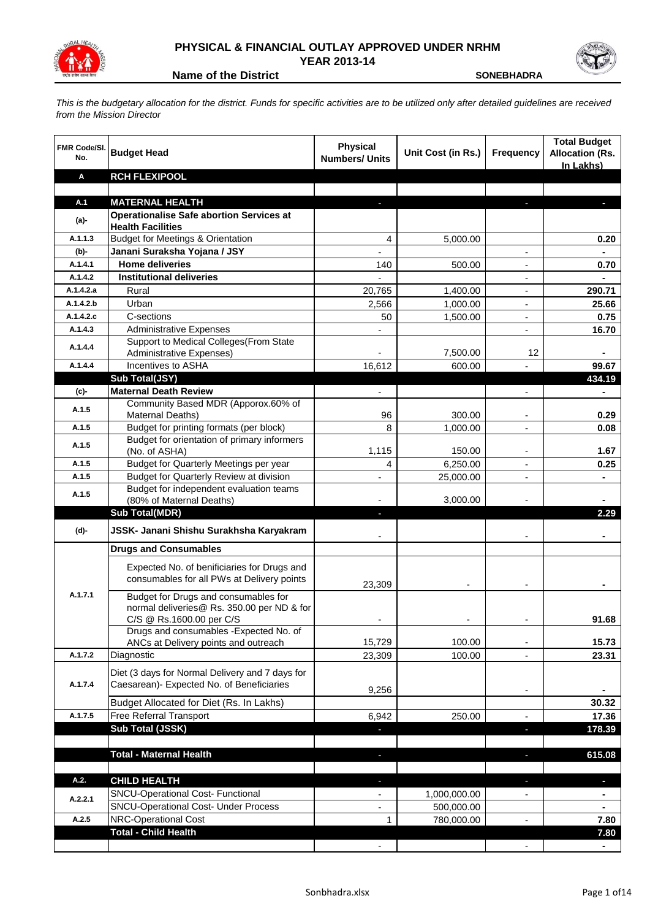

## **PHYSICAL & FINANCIAL OUTLAY APPROVED UNDER NRHM YEAR 2013-14**

**Name of the District Contract Contract Contract Contract Contract Contract Contract Contract Contract Contract Contract Contract Contract Contract Contract Contract Contract Contract Contract Contract Contract Contract Co** 

*This is the budgetary allocation for the district. Funds for specific activities are to be utilized only after detailed guidelines are received from the Mission Director*

| <b>FMR Code/SI.</b><br>No. | <b>Budget Head</b>                                                                                             | <b>Physical</b><br><b>Numbers/ Units</b> | Unit Cost (in Rs.) | <b>Frequency</b>         | <b>Total Budget</b><br><b>Allocation (Rs.</b><br>In Lakhs) |
|----------------------------|----------------------------------------------------------------------------------------------------------------|------------------------------------------|--------------------|--------------------------|------------------------------------------------------------|
| Α                          | <b>RCH FLEXIPOOL</b>                                                                                           |                                          |                    |                          |                                                            |
|                            |                                                                                                                |                                          |                    |                          |                                                            |
| A.1                        | <b>MATERNAL HEALTH</b>                                                                                         |                                          |                    |                          |                                                            |
| (a)-                       | <b>Operationalise Safe abortion Services at</b>                                                                |                                          |                    |                          |                                                            |
| A.1.1.3                    | <b>Health Facilities</b>                                                                                       |                                          |                    |                          |                                                            |
| $(b)$ -                    | <b>Budget for Meetings &amp; Orientation</b><br>Janani Suraksha Yojana / JSY                                   | 4<br>$\overline{\phantom{0}}$            | 5,000.00           | $\blacksquare$           | 0.20<br>$\blacksquare$                                     |
| A.1.4.1                    | <b>Home deliveries</b>                                                                                         | 140                                      | 500.00             | $\overline{\phantom{a}}$ | 0.70                                                       |
| A.1.4.2                    | <b>Institutional deliveries</b>                                                                                |                                          |                    | $\overline{\phantom{a}}$ | $\blacksquare$                                             |
| A.1.4.2.a                  | Rural                                                                                                          | 20,765                                   | 1,400.00           | $\overline{\phantom{a}}$ | 290.71                                                     |
| A.1.4.2.b                  | Urban                                                                                                          | 2,566                                    | 1,000.00           | $\overline{\phantom{a}}$ | 25.66                                                      |
| A.1.4.2.c                  | C-sections                                                                                                     | 50                                       | 1,500.00           | $\blacksquare$           | 0.75                                                       |
| A.1.4.3                    | <b>Administrative Expenses</b>                                                                                 |                                          |                    | $\overline{\phantom{a}}$ | 16.70                                                      |
|                            | Support to Medical Colleges(From State                                                                         |                                          |                    |                          |                                                            |
| A.1.4.4                    | Administrative Expenses)                                                                                       |                                          | 7,500.00           | 12                       |                                                            |
| A.1.4.4                    | Incentives to ASHA                                                                                             | 16,612                                   | 600.00             |                          | 99.67                                                      |
|                            | Sub Total(JSY)                                                                                                 |                                          |                    |                          | 434.19                                                     |
| (c)                        | <b>Maternal Death Review</b>                                                                                   |                                          |                    |                          |                                                            |
| A.1.5                      | Community Based MDR (Apporox.60% of                                                                            |                                          |                    |                          |                                                            |
|                            | <b>Maternal Deaths)</b>                                                                                        | 96                                       | 300.00             | $\overline{\phantom{a}}$ | 0.29                                                       |
| A.1.5                      | Budget for printing formats (per block)                                                                        | 8                                        | 1,000.00           | $\overline{\phantom{a}}$ | 0.08                                                       |
| A.1.5                      | Budget for orientation of primary informers                                                                    | 1,115                                    |                    |                          | 1.67                                                       |
| A.1.5                      | (No. of ASHA)<br>Budget for Quarterly Meetings per year                                                        | 4                                        | 150.00<br>6,250.00 | $\overline{a}$           | 0.25                                                       |
| A.1.5                      | Budget for Quarterly Review at division                                                                        |                                          | 25,000.00          | $\blacksquare$           |                                                            |
|                            | Budget for independent evaluation teams                                                                        |                                          |                    |                          |                                                            |
| A.1.5                      | (80% of Maternal Deaths)                                                                                       |                                          | 3,000.00           |                          |                                                            |
|                            | <b>Sub Total(MDR)</b>                                                                                          | J,                                       |                    |                          | 2.29                                                       |
| (d)-                       | JSSK- Janani Shishu Surakhsha Karyakram                                                                        |                                          |                    |                          |                                                            |
|                            | <b>Drugs and Consumables</b>                                                                                   |                                          |                    |                          |                                                            |
|                            | Expected No. of benificiaries for Drugs and<br>consumables for all PWs at Delivery points                      | 23,309                                   |                    |                          |                                                            |
| A.1.7.1                    | Budget for Drugs and consumables for<br>normal deliveries@ Rs. 350.00 per ND & for<br>C/S @ Rs.1600.00 per C/S |                                          |                    |                          | 91.68                                                      |
|                            | Drugs and consumables - Expected No. of                                                                        |                                          |                    |                          |                                                            |
|                            | ANCs at Delivery points and outreach                                                                           | 15,729                                   | 100.00             |                          | 15.73                                                      |
| A.1.7.2                    | Diagnostic                                                                                                     | 23,309                                   | 100.00             |                          | 23.31                                                      |
| A.1.7.4                    | Diet (3 days for Normal Delivery and 7 days for<br>Caesarean)- Expected No. of Beneficiaries                   | 9,256                                    |                    | $\overline{\phantom{a}}$ |                                                            |
|                            | Budget Allocated for Diet (Rs. In Lakhs)                                                                       |                                          |                    |                          | 30.32                                                      |
| A.1.7.5                    | Free Referral Transport                                                                                        | 6,942                                    | 250.00             | $\overline{\phantom{a}}$ | 17.36                                                      |
|                            | <b>Sub Total (JSSK)</b>                                                                                        | J,                                       |                    | J,                       | 178.39                                                     |
|                            |                                                                                                                |                                          |                    |                          |                                                            |
|                            | <b>Total - Maternal Health</b>                                                                                 | ٠                                        |                    | f,                       | 615.08                                                     |
| A.2.                       | <b>CHILD HEALTH</b>                                                                                            | ٠                                        |                    | J.                       | p                                                          |
|                            | SNCU-Operational Cost- Functional                                                                              | $\qquad \qquad \blacksquare$             | 1,000,000.00       |                          | ٠                                                          |
| A.2.2.1                    | <b>SNCU-Operational Cost- Under Process</b>                                                                    | $\qquad \qquad \blacksquare$             | 500,000.00         |                          | ٠                                                          |
| A.2.5                      | <b>NRC-Operational Cost</b>                                                                                    | $\mathbf{1}$                             | 780,000.00         | $\overline{\phantom{a}}$ | 7.80                                                       |
|                            | <b>Total - Child Health</b>                                                                                    |                                          |                    |                          | 7.80                                                       |
|                            |                                                                                                                | $\overline{\phantom{a}}$                 |                    |                          |                                                            |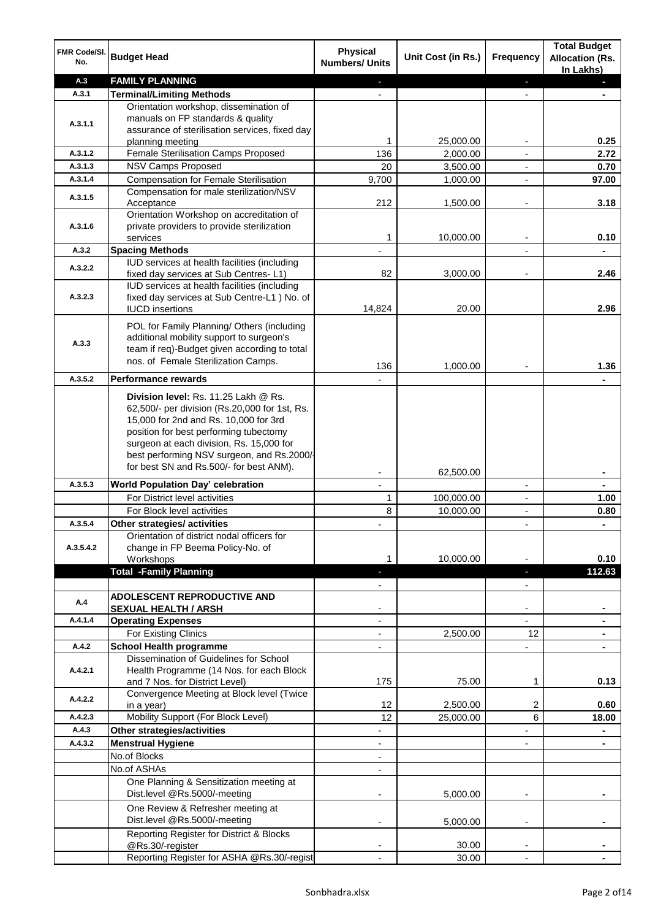| FMR Code/SI.<br>No.  | <b>Budget Head</b>                                                                                                                                                                                                                                                                                            | <b>Physical</b><br><b>Numbers/ Units</b>   | Unit Cost (in Rs.) | Frequency                | <b>Total Budget</b><br><b>Allocation (Rs.</b><br>In Lakhs) |
|----------------------|---------------------------------------------------------------------------------------------------------------------------------------------------------------------------------------------------------------------------------------------------------------------------------------------------------------|--------------------------------------------|--------------------|--------------------------|------------------------------------------------------------|
| A.3                  | <b>FAMILY PLANNING</b>                                                                                                                                                                                                                                                                                        | ÷.                                         |                    | $\blacksquare$           | $\blacksquare$                                             |
| A.3.1                | <b>Terminal/Limiting Methods</b>                                                                                                                                                                                                                                                                              |                                            |                    |                          |                                                            |
| A.3.1.1              | Orientation workshop, dissemination of<br>manuals on FP standards & quality<br>assurance of sterilisation services, fixed day                                                                                                                                                                                 |                                            |                    |                          |                                                            |
|                      | planning meeting                                                                                                                                                                                                                                                                                              | 1                                          | 25,000.00          | ۰                        | 0.25                                                       |
| A.3.1.2              | Female Sterilisation Camps Proposed                                                                                                                                                                                                                                                                           | 136                                        | 2,000.00           | $\overline{\phantom{a}}$ | 2.72                                                       |
| A.3.1.3              | NSV Camps Proposed                                                                                                                                                                                                                                                                                            | 20                                         | 3,500.00           | $\overline{\phantom{a}}$ | 0.70                                                       |
| A.3.1.4              | <b>Compensation for Female Sterilisation</b>                                                                                                                                                                                                                                                                  | 9,700                                      | 1,000.00           | $\blacksquare$           | 97.00                                                      |
| A.3.1.5              | Compensation for male sterilization/NSV<br>Acceptance                                                                                                                                                                                                                                                         | 212                                        | 1,500.00           | ٠                        | 3.18                                                       |
| A.3.1.6              | Orientation Workshop on accreditation of<br>private providers to provide sterilization<br>services                                                                                                                                                                                                            | 1                                          | 10,000.00          |                          | 0.10                                                       |
| A.3.2                |                                                                                                                                                                                                                                                                                                               |                                            |                    |                          |                                                            |
|                      | <b>Spacing Methods</b>                                                                                                                                                                                                                                                                                        |                                            |                    |                          |                                                            |
| A.3.2.2              | IUD services at health facilities (including<br>fixed day services at Sub Centres-L1)<br>IUD services at health facilities (including                                                                                                                                                                         | 82                                         | 3,000.00           |                          | 2.46                                                       |
| A.3.2.3              | fixed day services at Sub Centre-L1 ) No. of<br><b>IUCD</b> insertions                                                                                                                                                                                                                                        | 14,824                                     | 20.00              |                          | 2.96                                                       |
| A.3.3                | POL for Family Planning/ Others (including<br>additional mobility support to surgeon's<br>team if req)-Budget given according to total<br>nos. of Female Sterilization Camps.                                                                                                                                 | 136                                        | 1,000.00           |                          | 1.36                                                       |
| A.3.5.2              | <b>Performance rewards</b>                                                                                                                                                                                                                                                                                    |                                            |                    |                          |                                                            |
|                      | Division level: Rs. 11.25 Lakh @ Rs.<br>62,500/- per division (Rs.20,000 for 1st, Rs.<br>15,000 for 2nd and Rs. 10,000 for 3rd<br>position for best performing tubectomy<br>surgeon at each division, Rs. 15,000 for<br>best performing NSV surgeon, and Rs.2000/-<br>for best SN and Rs.500/- for best ANM). |                                            |                    |                          |                                                            |
| A.3.5.3              | World Population Day' celebration                                                                                                                                                                                                                                                                             |                                            | 62,500.00          | ٠                        |                                                            |
|                      | For District level activities                                                                                                                                                                                                                                                                                 |                                            |                    |                          |                                                            |
|                      |                                                                                                                                                                                                                                                                                                               | 1                                          | 100,000.00         | ٠                        | 1.00                                                       |
|                      | For Block level activities                                                                                                                                                                                                                                                                                    | 8                                          | 10,000.00          | Ĭ.                       | 0.80                                                       |
| A.3.5.4<br>A.3.5.4.2 | Other strategies/ activities<br>Orientation of district nodal officers for<br>change in FP Beema Policy-No. of<br>Workshops                                                                                                                                                                                   | 1                                          | 10,000.00          | $\overline{\phantom{a}}$ | $\blacksquare$<br>0.10                                     |
|                      | <b>Total -Family Planning</b>                                                                                                                                                                                                                                                                                 | н                                          |                    | ٠                        | 112.63                                                     |
|                      |                                                                                                                                                                                                                                                                                                               |                                            |                    | $\overline{\phantom{0}}$ |                                                            |
| A.4                  | <b>ADOLESCENT REPRODUCTIVE AND</b>                                                                                                                                                                                                                                                                            |                                            |                    |                          |                                                            |
|                      | <b>SEXUAL HEALTH / ARSH</b>                                                                                                                                                                                                                                                                                   |                                            |                    | ٠                        |                                                            |
| A.4.1.4              | <b>Operating Expenses</b>                                                                                                                                                                                                                                                                                     | $\overline{\phantom{0}}$                   |                    | $\overline{\phantom{0}}$ |                                                            |
|                      | For Existing Clinics                                                                                                                                                                                                                                                                                          | $\overline{\phantom{0}}$                   | 2,500.00           | 12                       |                                                            |
| A.4.2                | <b>School Health programme</b>                                                                                                                                                                                                                                                                                | $\overline{\phantom{0}}$                   |                    | ÷,                       |                                                            |
| A.4.2.1              | Dissemination of Guidelines for School<br>Health Programme (14 Nos. for each Block                                                                                                                                                                                                                            | 175                                        | 75.00              | 1                        | 0.13                                                       |
|                      | and 7 Nos. for District Level)<br>Convergence Meeting at Block level (Twice                                                                                                                                                                                                                                   |                                            |                    |                          |                                                            |
| A.4.2.2              | in a year)                                                                                                                                                                                                                                                                                                    | 12                                         | 2,500.00           | 2                        | 0.60                                                       |
| A.4.2.3              | Mobility Support (For Block Level)                                                                                                                                                                                                                                                                            | 12                                         | 25,000.00          | 6                        | 18.00                                                      |
| A.4.3                | Other strategies/activities                                                                                                                                                                                                                                                                                   | $\overline{\phantom{0}}$                   |                    | $\overline{\phantom{0}}$ | $\blacksquare$                                             |
| A.4.3.2              | <b>Menstrual Hygiene</b>                                                                                                                                                                                                                                                                                      |                                            |                    |                          |                                                            |
|                      | No.of Blocks                                                                                                                                                                                                                                                                                                  | $\overline{\phantom{a}}$<br>$\blacksquare$ |                    | ÷,                       | ۰                                                          |
|                      |                                                                                                                                                                                                                                                                                                               |                                            |                    |                          |                                                            |
|                      | No.of ASHAs<br>One Planning & Sensitization meeting at<br>Dist.level @Rs.5000/-meeting                                                                                                                                                                                                                        | $\overline{\phantom{a}}$                   |                    |                          |                                                            |
|                      | One Review & Refresher meeting at<br>Dist.level @Rs.5000/-meeting                                                                                                                                                                                                                                             |                                            | 5,000.00           |                          |                                                            |
|                      | Reporting Register for District & Blocks                                                                                                                                                                                                                                                                      | $\overline{\phantom{a}}$                   | 5,000.00           | ٠                        |                                                            |
|                      | @Rs.30/-register<br>Reporting Register for ASHA @Rs.30/-regist                                                                                                                                                                                                                                                |                                            | 30.00              |                          |                                                            |
|                      |                                                                                                                                                                                                                                                                                                               |                                            | 30.00              |                          |                                                            |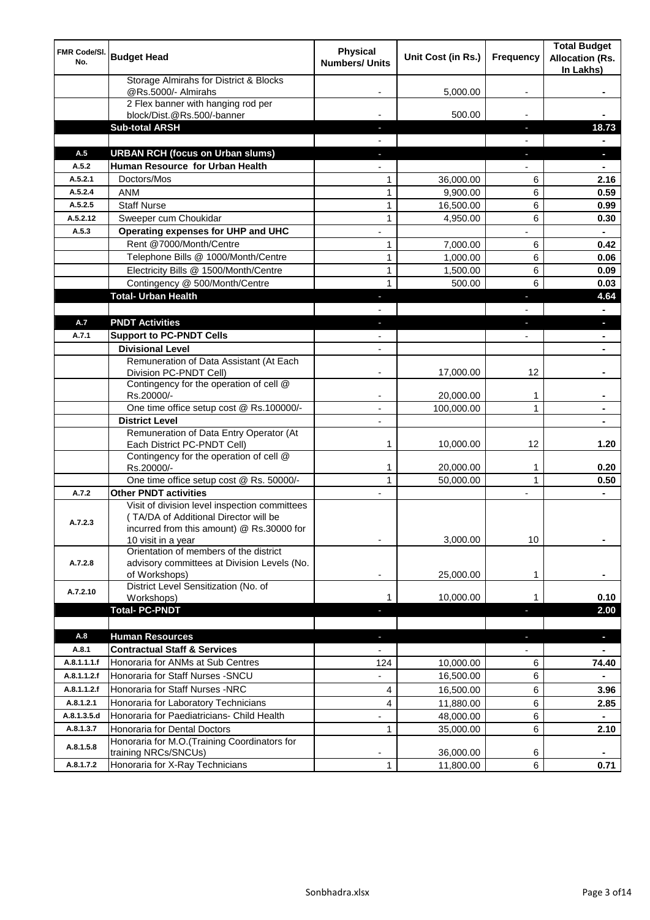| FMR Code/SI.<br>No. | <b>Budget Head</b>                                                                                                                                        | <b>Physical</b><br><b>Numbers/ Units</b> | Unit Cost (in Rs.) | <b>Frequency</b>         | <b>Total Budget</b><br><b>Allocation (Rs.</b><br>In Lakhs) |
|---------------------|-----------------------------------------------------------------------------------------------------------------------------------------------------------|------------------------------------------|--------------------|--------------------------|------------------------------------------------------------|
|                     | Storage Almirahs for District & Blocks<br>@Rs.5000/- Almirahs                                                                                             |                                          | 5,000.00           |                          |                                                            |
|                     | 2 Flex banner with hanging rod per<br>block/Dist.@Rs.500/-banner                                                                                          |                                          | 500.00             |                          |                                                            |
|                     | <b>Sub-total ARSH</b>                                                                                                                                     |                                          |                    | ٠                        | 18.73                                                      |
|                     |                                                                                                                                                           |                                          |                    |                          |                                                            |
| A.5                 | <b>URBAN RCH (focus on Urban slums)</b>                                                                                                                   |                                          |                    | ٠                        | $\blacksquare$                                             |
| A.5.2               | Human Resource for Urban Health                                                                                                                           | $\blacksquare$                           |                    | $\overline{\phantom{0}}$ | $\blacksquare$                                             |
| A.5.2.1             | Doctors/Mos                                                                                                                                               | 1                                        | 36,000.00          | 6                        | 2.16                                                       |
| A.5.2.4             | <b>ANM</b>                                                                                                                                                | 1                                        | 9,900.00           | 6                        | 0.59                                                       |
| A.5.2.5             | <b>Staff Nurse</b>                                                                                                                                        | 1                                        | 16,500.00          | 6                        | 0.99                                                       |
| A.5.2.12            | Sweeper cum Choukidar                                                                                                                                     | 1                                        | 4,950.00           | 6                        | 0.30                                                       |
| A.5.3               | Operating expenses for UHP and UHC                                                                                                                        | $\overline{a}$                           |                    |                          | $\blacksquare$                                             |
|                     | Rent @7000/Month/Centre                                                                                                                                   | 1                                        | 7,000.00           | 6                        | 0.42                                                       |
|                     | Telephone Bills @ 1000/Month/Centre                                                                                                                       | 1                                        | 1,000.00           | 6                        | 0.06                                                       |
|                     | Electricity Bills @ 1500/Month/Centre                                                                                                                     | 1                                        | 1,500.00           | 6                        | 0.09                                                       |
|                     | Contingency @ 500/Month/Centre                                                                                                                            | $\mathbf{1}$                             | 500.00             | 6                        | 0.03                                                       |
|                     | <b>Total- Urban Health</b>                                                                                                                                | ٠                                        |                    | ٠                        | 4.64                                                       |
|                     |                                                                                                                                                           |                                          |                    |                          |                                                            |
| A.7                 | <b>PNDT Activities</b>                                                                                                                                    | ٠                                        |                    | $\blacksquare$           | ٠                                                          |
| A.7.1               | <b>Support to PC-PNDT Cells</b>                                                                                                                           | $\overline{\phantom{a}}$                 |                    | ÷                        | $\blacksquare$                                             |
|                     | <b>Divisional Level</b>                                                                                                                                   | $\overline{\phantom{a}}$                 |                    |                          | $\blacksquare$                                             |
|                     | Remuneration of Data Assistant (At Each<br>Division PC-PNDT Cell)                                                                                         |                                          | 17,000.00          | 12                       |                                                            |
|                     | Contingency for the operation of cell @<br>Rs.20000/-                                                                                                     | ۰                                        | 20,000.00          | $\mathbf 1$              | ۰                                                          |
|                     | One time office setup cost @ Rs.100000/-                                                                                                                  | $\blacksquare$                           | 100,000.00         | 1                        | ٠                                                          |
|                     | <b>District Level</b>                                                                                                                                     | $\overline{\phantom{a}}$                 |                    |                          | $\blacksquare$                                             |
|                     | Remuneration of Data Entry Operator (At<br>Each District PC-PNDT Cell)                                                                                    | 1                                        | 10,000.00          | 12                       | 1.20                                                       |
|                     | Contingency for the operation of cell @<br>Rs.20000/-                                                                                                     | 1                                        | 20,000.00          | 1                        | 0.20                                                       |
|                     | One time office setup cost @ Rs. 50000/-                                                                                                                  | $\mathbf{1}$                             | 50,000.00          | $\mathbf{1}$             | 0.50                                                       |
| A.7.2               | <b>Other PNDT activities</b>                                                                                                                              | $\overline{\phantom{a}}$                 |                    | $\overline{\phantom{a}}$ | $\blacksquare$                                             |
| A.7.2.3             | Visit of division level inspection committees<br>(TA/DA of Additional Director will be<br>incurred from this amount) @ Rs.30000 for<br>10 visit in a year | ۰                                        | 3,000.00           | 10                       | ۰                                                          |
| A.7.2.8             | Orientation of members of the district<br>advisory committees at Division Levels (No.<br>of Workshops)                                                    |                                          | 25,000.00          | 1                        |                                                            |
|                     | District Level Sensitization (No. of                                                                                                                      |                                          |                    |                          |                                                            |
| A.7.2.10            | Workshops)                                                                                                                                                | 1                                        | 10,000.00          | 1                        | 0.10                                                       |
|                     | <b>Total-PC-PNDT</b>                                                                                                                                      |                                          |                    | Ξ                        | 2.00                                                       |
|                     |                                                                                                                                                           |                                          |                    |                          |                                                            |
| A.8                 | <b>Human Resources</b>                                                                                                                                    | ٠                                        |                    | $\blacksquare$           | ٠                                                          |
| A.8.1               | <b>Contractual Staff &amp; Services</b>                                                                                                                   | $\blacksquare$                           |                    |                          | $\blacksquare$                                             |
| A.8.1.1.1.f         | Honoraria for ANMs at Sub Centres                                                                                                                         | 124                                      | 10,000.00          | 6                        | 74.40                                                      |
| A.8.1.1.2.f         | Honoraria for Staff Nurses - SNCU                                                                                                                         | ٠                                        | 16,500.00          | 6                        |                                                            |
| A.8.1.1.2.f         | Honoraria for Staff Nurses -NRC                                                                                                                           | 4                                        | 16,500.00          | 6                        | 3.96                                                       |
| A.8.1.2.1           | Honoraria for Laboratory Technicians                                                                                                                      | 4                                        | 11,880.00          | 6                        | 2.85                                                       |
| A.8.1.3.5.d         | Honoraria for Paediatricians- Child Health                                                                                                                | $\overline{\phantom{a}}$                 | 48,000.00          | 6                        | $\blacksquare$                                             |
| A.8.1.3.7           | Honoraria for Dental Doctors                                                                                                                              | 1                                        | 35,000.00          | 6                        | 2.10                                                       |
| A.8.1.5.8           | Honoraria for M.O.(Training Coordinators for<br>training NRCs/SNCUs)                                                                                      |                                          | 36,000.00          | 6                        |                                                            |
| A.8.1.7.2           | Honoraria for X-Ray Technicians                                                                                                                           | 1                                        | 11,800.00          | 6                        | 0.71                                                       |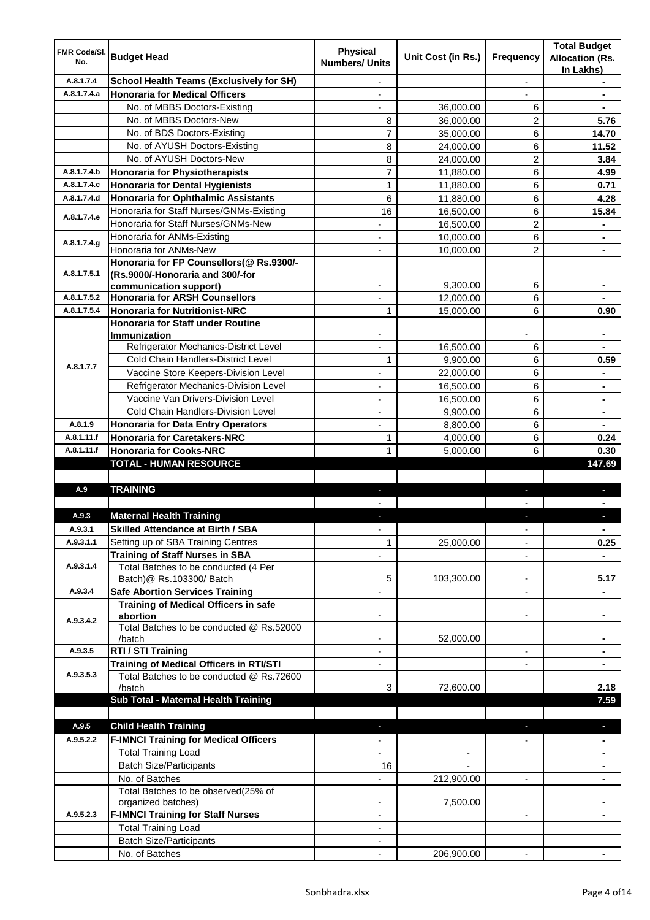| FMR Code/SI.<br>No. | <b>Budget Head</b>                                              | <b>Physical</b><br><b>Numbers/ Units</b> | Unit Cost (in Rs.) | <b>Frequency</b>         | <b>Total Budget</b><br><b>Allocation (Rs.</b><br>In Lakhs) |
|---------------------|-----------------------------------------------------------------|------------------------------------------|--------------------|--------------------------|------------------------------------------------------------|
| A.8.1.7.4           | <b>School Health Teams (Exclusively for SH)</b>                 |                                          |                    |                          |                                                            |
| A.8.1.7.4.a         | <b>Honoraria for Medical Officers</b>                           | $\overline{\phantom{0}}$                 |                    |                          |                                                            |
|                     | No. of MBBS Doctors-Existing                                    |                                          | 36,000.00          | 6                        |                                                            |
|                     | No. of MBBS Doctors-New                                         | 8                                        | 36,000.00          | 2                        | 5.76                                                       |
|                     | No. of BDS Doctors-Existing                                     | 7                                        | 35,000.00          | 6                        | 14.70                                                      |
|                     | No. of AYUSH Doctors-Existing                                   | 8                                        | 24,000.00          | 6                        | 11.52                                                      |
|                     | No. of AYUSH Doctors-New                                        | 8                                        | 24,000.00          | 2                        | 3.84                                                       |
| A.8.1.7.4.b         | <b>Honoraria for Physiotherapists</b>                           | 7                                        | 11,880.00          | 6                        | 4.99                                                       |
| A.8.1.7.4.c         | <b>Honoraria for Dental Hygienists</b>                          | 1                                        | 11,880.00          | 6                        | 0.71                                                       |
| A.8.1.7.4.d         | Honoraria for Ophthalmic Assistants                             | 6                                        | 11,880.00          | 6                        | 4.28                                                       |
| A.8.1.7.4.e         | Honoraria for Staff Nurses/GNMs-Existing                        | 16                                       | 16,500.00          | 6                        | 15.84                                                      |
|                     | Honoraria for Staff Nurses/GNMs-New                             | $\overline{\phantom{0}}$                 | 16,500.00          | $\overline{2}$           | ٠                                                          |
| A.8.1.7.4.g         | Honoraria for ANMs-Existing                                     | $\overline{\phantom{0}}$                 | 10,000.00          | 6                        | ٠                                                          |
|                     | Honoraria for ANMs-New                                          | $\overline{\phantom{0}}$                 | 10,000.00          | $\overline{2}$           | $\blacksquare$                                             |
|                     | Honoraria for FP Counsellors(@ Rs.9300/-                        |                                          |                    |                          |                                                            |
| A.8.1.7.5.1         | (Rs.9000/-Honoraria and 300/-for                                |                                          |                    |                          |                                                            |
| A.8.1.7.5.2         | communication support)<br><b>Honoraria for ARSH Counsellors</b> |                                          | 9,300.00           | 6                        |                                                            |
|                     |                                                                 |                                          | 12,000.00          | 6                        |                                                            |
| A.8.1.7.5.4         | <b>Honoraria for Nutritionist-NRC</b>                           | $\mathbf{1}$                             | 15,000.00          | 6                        | 0.90                                                       |
|                     | Honoraria for Staff under Routine<br><b>Immunization</b>        |                                          |                    |                          |                                                            |
|                     | Refrigerator Mechanics-District Level                           |                                          | 16,500.00          | 6                        |                                                            |
|                     | <b>Cold Chain Handlers-District Level</b>                       | 1                                        | 9,900.00           | 6                        | 0.59                                                       |
| A.8.1.7.7           | Vaccine Store Keepers-Division Level                            |                                          | 22,000.00          | $\,6\,$                  |                                                            |
|                     | Refrigerator Mechanics-Division Level                           |                                          | 16,500.00          | $\,6\,$                  | ۰                                                          |
|                     | Vaccine Van Drivers-Division Level                              |                                          | 16,500.00          | $\,6\,$                  | ۰                                                          |
|                     | Cold Chain Handlers-Division Level                              |                                          | 9,900.00           | 6                        | ۰                                                          |
| A.8.1.9             | <b>Honoraria for Data Entry Operators</b>                       |                                          | 8,800.00           | 6                        |                                                            |
| A.8.1.11.f          | <b>Honoraria for Caretakers-NRC</b>                             | 1                                        | 4,000.00           | 6                        | 0.24                                                       |
| A.8.1.11.f          | <b>Honoraria for Cooks-NRC</b>                                  | 1                                        | 5,000.00           | 6                        | 0.30                                                       |
|                     | <b>TOTAL - HUMAN RESOURCE</b>                                   |                                          |                    |                          | 147.69                                                     |
|                     |                                                                 |                                          |                    |                          |                                                            |
| A.9                 | <b>TRAINING</b>                                                 |                                          |                    |                          |                                                            |
|                     |                                                                 |                                          |                    |                          |                                                            |
| A.9.3               | <b>Maternal Health Training</b>                                 |                                          |                    |                          |                                                            |
| A.Y.3.1             | <b>Skilled Attendance at Birth / SBA</b>                        |                                          |                    |                          |                                                            |
| A.9.3.1.1           | Setting up of SBA Training Centres                              | $\mathbf{1}$                             | 25,000.00          |                          | 0.25                                                       |
|                     | <b>Training of Staff Nurses in SBA</b>                          |                                          |                    |                          |                                                            |
| A.9.3.1.4           | Total Batches to be conducted (4 Per                            |                                          |                    |                          |                                                            |
|                     | Batch) @ Rs.103300/ Batch                                       | 5                                        | 103,300.00         | ÷                        | 5.17                                                       |
| A.9.3.4             | <b>Safe Abortion Services Training</b>                          |                                          |                    | ä,                       |                                                            |
|                     | <b>Training of Medical Officers in safe</b>                     |                                          |                    |                          |                                                            |
| A.9.3.4.2           | abortion                                                        | -                                        |                    | -                        | ۰                                                          |
|                     | Total Batches to be conducted @ Rs.52000<br>/batch              |                                          | 52,000.00          |                          |                                                            |
| A.9.3.5             | RTI / STI Training                                              |                                          |                    | $\overline{\phantom{0}}$ |                                                            |
|                     | Training of Medical Officers in RTI/STI                         |                                          |                    |                          |                                                            |
| A.9.3.5.3           | Total Batches to be conducted @ Rs.72600                        |                                          |                    |                          |                                                            |
|                     | /batch                                                          | 3                                        | 72,600.00          |                          | 2.18                                                       |
|                     | Sub Total - Maternal Health Training                            |                                          |                    |                          | 7.59                                                       |
|                     |                                                                 |                                          |                    |                          |                                                            |
| A.9.5               | <b>Child Health Training</b>                                    |                                          |                    |                          |                                                            |
| A.9.5.2.2           | <b>F-IMNCI Training for Medical Officers</b>                    |                                          |                    |                          | $\blacksquare$                                             |
|                     | <b>Total Training Load</b>                                      |                                          |                    |                          | ۰                                                          |
|                     | <b>Batch Size/Participants</b>                                  | 16                                       |                    |                          |                                                            |
|                     | No. of Batches                                                  |                                          | 212,900.00         |                          |                                                            |
|                     | Total Batches to be observed(25% of                             |                                          |                    |                          |                                                            |
|                     | organized batches)                                              |                                          | 7,500.00           |                          |                                                            |
| A.9.5.2.3           | <b>F-IMNCI Training for Staff Nurses</b>                        | ٠                                        |                    | $\overline{\phantom{0}}$ |                                                            |
|                     | <b>Total Training Load</b>                                      | $\overline{\phantom{0}}$                 |                    |                          |                                                            |
|                     | <b>Batch Size/Participants</b>                                  |                                          |                    |                          |                                                            |
|                     | No. of Batches                                                  | $\blacksquare$                           | 206,900.00         | $\blacksquare$           |                                                            |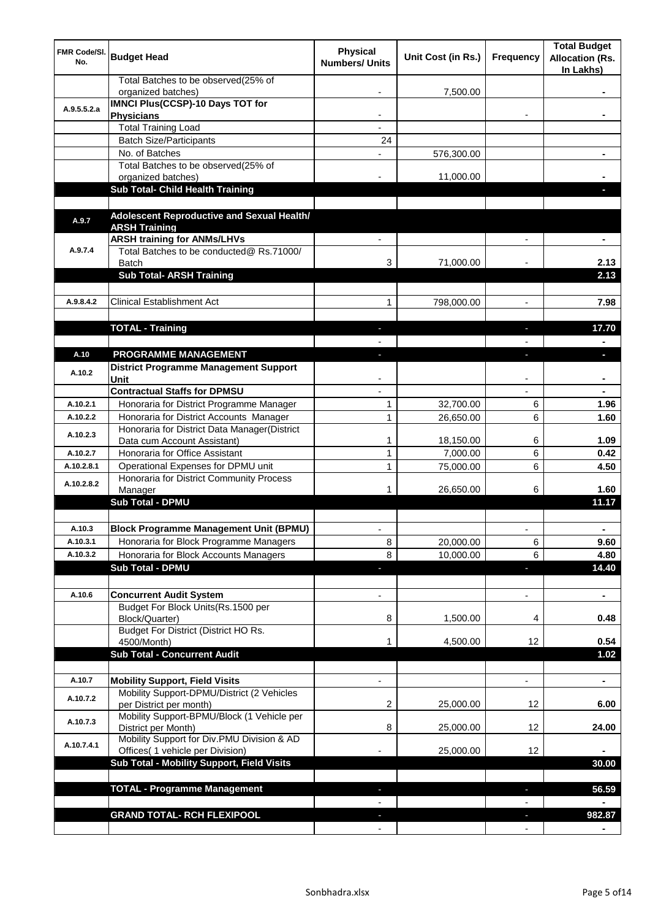| <b>FMR Code/SI.</b><br>No. | <b>Budget Head</b>                                                    | <b>Physical</b><br><b>Numbers/ Units</b> | Unit Cost (in Rs.) | <b>Frequency</b>         | <b>Total Budget</b><br><b>Allocation (Rs.</b><br>In Lakhs) |
|----------------------------|-----------------------------------------------------------------------|------------------------------------------|--------------------|--------------------------|------------------------------------------------------------|
|                            | Total Batches to be observed(25% of<br>organized batches)             |                                          | 7,500.00           |                          |                                                            |
| A.9.5.5.2.a                | <b>IMNCI Plus(CCSP)-10 Days TOT for</b><br><b>Physicians</b>          |                                          |                    |                          |                                                            |
|                            | <b>Total Training Load</b>                                            |                                          |                    |                          |                                                            |
|                            | <b>Batch Size/Participants</b>                                        | 24                                       |                    |                          |                                                            |
|                            | No. of Batches                                                        |                                          | 576,300.00         |                          |                                                            |
|                            | Total Batches to be observed(25% of                                   |                                          |                    |                          |                                                            |
|                            | organized batches)                                                    |                                          | 11,000.00          |                          |                                                            |
|                            | Sub Total- Child Health Training                                      |                                          |                    |                          |                                                            |
|                            |                                                                       |                                          |                    |                          |                                                            |
|                            | Adolescent Reproductive and Sexual Health/                            |                                          |                    |                          |                                                            |
| A.9.7                      | <b>ARSH Training</b>                                                  |                                          |                    |                          |                                                            |
|                            | <b>ARSH training for ANMs/LHVs</b>                                    |                                          |                    |                          |                                                            |
| A.9.7.4                    | Total Batches to be conducted@ Rs.71000/                              |                                          |                    |                          |                                                            |
|                            | <b>Batch</b>                                                          | 3                                        | 71,000.00          |                          | 2.13                                                       |
|                            | <b>Sub Total- ARSH Training</b>                                       |                                          |                    |                          | 2.13                                                       |
|                            |                                                                       |                                          |                    |                          |                                                            |
| A.9.8.4.2                  | <b>Clinical Establishment Act</b>                                     | 1                                        | 798,000.00         |                          | 7.98                                                       |
|                            |                                                                       |                                          |                    |                          |                                                            |
|                            | <b>TOTAL - Training</b>                                               | J,                                       |                    | ı                        | 17.70                                                      |
|                            |                                                                       |                                          |                    |                          |                                                            |
| A.10                       | <b>PROGRAMME MANAGEMENT</b>                                           |                                          |                    |                          | D                                                          |
| A.10.2                     | District Programme Management Support                                 |                                          |                    |                          |                                                            |
|                            | Unit                                                                  |                                          |                    |                          |                                                            |
|                            | <b>Contractual Staffs for DPMSU</b>                                   |                                          |                    |                          |                                                            |
| A.10.2.1                   | Honoraria for District Programme Manager                              | 1                                        | 32,700.00          | 6                        | 1.96                                                       |
| A.10.2.2                   | Honoraria for District Accounts Manager                               | 1                                        | 26,650.00          | 6                        | 1.60                                                       |
| A.10.2.3                   | Honoraria for District Data Manager(District                          |                                          |                    |                          |                                                            |
|                            | Data cum Account Assistant)                                           | 1                                        | 18,150.00          | 6                        | 1.09                                                       |
| A.10.2.7                   | Honoraria for Office Assistant                                        | 1                                        | 7,000.00           | 6                        | 0.42                                                       |
| A.10.2.8.1                 | Operational Expenses for DPMU unit                                    | 1                                        | 75,000.00          | 6                        | 4.50                                                       |
| A.10.2.8.2                 | Honoraria for District Community Process<br>Manager                   |                                          | 26,650.00          | 6                        | 1.60                                                       |
|                            | <b>Sub Total - DPMU</b>                                               |                                          |                    |                          | 11.17                                                      |
|                            |                                                                       |                                          |                    |                          |                                                            |
| A.10.3                     | <b>Block Programme Management Unit (BPMU)</b>                         |                                          |                    |                          |                                                            |
| A.10.3.1                   | Honoraria for Block Programme Managers                                | 8                                        | 20,000.00          | 6                        | 9.60                                                       |
| A.10.3.2                   | Honoraria for Block Accounts Managers                                 | 8                                        | 10,000.00          | 6                        | 4.80                                                       |
|                            | <b>Sub Total - DPMU</b>                                               |                                          |                    | ٠                        | 14.40                                                      |
|                            |                                                                       |                                          |                    |                          |                                                            |
| A.10.6                     | <b>Concurrent Audit System</b>                                        |                                          |                    | ٠                        | $\blacksquare$                                             |
|                            | Budget For Block Units(Rs.1500 per                                    |                                          |                    |                          |                                                            |
|                            | Block/Quarter)                                                        | 8                                        | 1,500.00           | 4                        | 0.48                                                       |
|                            | Budget For District (District HO Rs.                                  |                                          |                    |                          |                                                            |
|                            | 4500/Month)                                                           |                                          | 4,500.00           | 12                       | 0.54                                                       |
|                            | <b>Sub Total - Concurrent Audit</b>                                   |                                          |                    |                          | 1.02                                                       |
|                            |                                                                       |                                          |                    |                          |                                                            |
| A.10.7                     | <b>Mobility Support, Field Visits</b>                                 |                                          |                    | ٠                        |                                                            |
| A.10.7.2                   | Mobility Support-DPMU/District (2 Vehicles<br>per District per month) | 2                                        | 25,000.00          | 12                       | 6.00                                                       |
| A.10.7.3                   | Mobility Support-BPMU/Block (1 Vehicle per<br>District per Month)     | 8                                        | 25,000.00          | 12                       | 24.00                                                      |
| A.10.7.4.1                 | Mobility Support for Div.PMU Division & AD                            |                                          |                    |                          |                                                            |
|                            | Offices( 1 vehicle per Division)                                      |                                          | 25,000.00          | 12                       |                                                            |
|                            | Sub Total - Mobility Support, Field Visits                            |                                          |                    |                          | 30.00                                                      |
|                            |                                                                       |                                          |                    |                          |                                                            |
|                            | <b>TOTAL - Programme Management</b>                                   | ٠                                        |                    | $\blacksquare$           | 56.59                                                      |
|                            |                                                                       | $\blacksquare$                           |                    | $\overline{\phantom{0}}$ |                                                            |
|                            | <b>GRAND TOTAL- RCH FLEXIPOOL</b>                                     | $\sim$                                   |                    | $\blacksquare$           | 982.87                                                     |
|                            |                                                                       | $\overline{\phantom{a}}$                 |                    | $\overline{\phantom{a}}$ | $\blacksquare$                                             |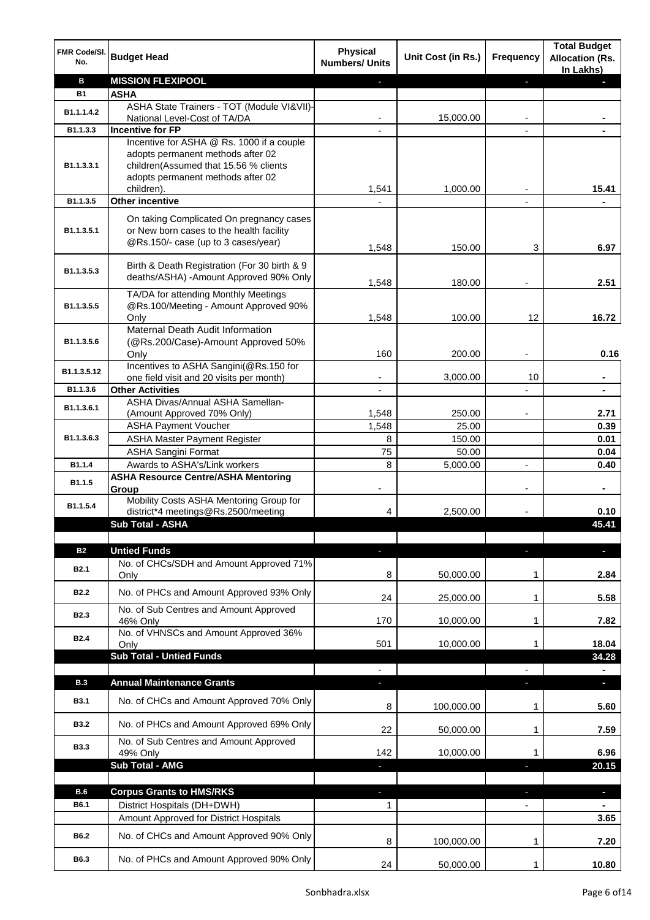| FMR Code/SI.<br>No.     | <b>Budget Head</b>                                                                                                                                                         | <b>Physical</b><br><b>Numbers/ Units</b> | Unit Cost (in Rs.) | <b>Frequency</b> | <b>Total Budget</b><br><b>Allocation (Rs.</b><br>In Lakhs) |
|-------------------------|----------------------------------------------------------------------------------------------------------------------------------------------------------------------------|------------------------------------------|--------------------|------------------|------------------------------------------------------------|
| в                       | <b>MISSION FLEXIPOOL</b>                                                                                                                                                   |                                          |                    | J,               |                                                            |
| <b>B1</b>               | <b>ASHA</b>                                                                                                                                                                |                                          |                    |                  |                                                            |
| B1.1.1.4.2              | ASHA State Trainers - TOT (Module VI&VII)-                                                                                                                                 |                                          |                    |                  |                                                            |
|                         | National Level-Cost of TA/DA                                                                                                                                               |                                          | 15,000.00          |                  |                                                            |
| B1.1.3.3                | <b>Incentive for FP</b>                                                                                                                                                    |                                          |                    |                  |                                                            |
| B <sub>1.1</sub> .3.3.1 | Incentive for ASHA @ Rs. 1000 if a couple<br>adopts permanent methods after 02<br>children(Assumed that 15.56 % clients<br>adopts permanent methods after 02<br>children). | 1,541                                    | 1,000.00           |                  | 15.41                                                      |
| B1.1.3.5                | <b>Other incentive</b>                                                                                                                                                     |                                          |                    |                  |                                                            |
| B1.1.3.5.1              | On taking Complicated On pregnancy cases<br>or New born cases to the health facility<br>@Rs.150/- case (up to 3 cases/year)                                                | 1,548                                    | 150.00             | 3                | 6.97                                                       |
| B1.1.3.5.3              | Birth & Death Registration (For 30 birth & 9<br>deaths/ASHA) - Amount Approved 90% Only                                                                                    | 1,548                                    | 180.00             |                  | 2.51                                                       |
| B1.1.3.5.5              | TA/DA for attending Monthly Meetings<br>@Rs.100/Meeting - Amount Approved 90%<br>Onlv                                                                                      | 1,548                                    | 100.00             | 12               | 16.72                                                      |
| B1.1.3.5.6              | Maternal Death Audit Information<br>(@Rs.200/Case)-Amount Approved 50%<br>Only                                                                                             | 160                                      | 200.00             |                  | 0.16                                                       |
| B1.1.3.5.12             | Incentives to ASHA Sangini(@Rs.150 for                                                                                                                                     |                                          |                    |                  |                                                            |
|                         | one field visit and 20 visits per month)                                                                                                                                   |                                          | 3,000.00           | 10               |                                                            |
| B1.1.3.6                | <b>Other Activities</b>                                                                                                                                                    |                                          |                    |                  |                                                            |
| B1.1.3.6.1              | ASHA Divas/Annual ASHA Samellan-                                                                                                                                           | 1,548                                    | 250.00             |                  | 2.71                                                       |
|                         | (Amount Approved 70% Only)<br><b>ASHA Payment Voucher</b>                                                                                                                  | 1,548                                    | 25.00              |                  | 0.39                                                       |
| B <sub>1.1</sub> .3.6.3 | <b>ASHA Master Payment Register</b>                                                                                                                                        | 8                                        | 150.00             |                  | 0.01                                                       |
|                         | <b>ASHA Sangini Format</b>                                                                                                                                                 | 75                                       | 50.00              |                  | 0.04                                                       |
| B1.1.4                  | Awards to ASHA's/Link workers                                                                                                                                              | 8                                        | 5,000.00           | ä,               | 0.40                                                       |
| B1.1.5                  | <b>ASHA Resource Centre/ASHA Mentoring</b><br>Group                                                                                                                        | ۰                                        |                    | ÷                | $\blacksquare$                                             |
| B1.1.5.4                | Mobility Costs ASHA Mentoring Group for<br>district*4 meetings@Rs.2500/meeting                                                                                             | 4                                        | 2,500.00           |                  | 0.10                                                       |
|                         | Sub Total - ASHA                                                                                                                                                           |                                          |                    |                  | 45.41                                                      |
| <b>B2</b>               | <b>Untied Funds</b>                                                                                                                                                        |                                          |                    | ı                |                                                            |
| <b>B2.1</b>             | No. of CHCs/SDH and Amount Approved 71%<br>Only                                                                                                                            | 8                                        | 50,000.00          | 1                | 2.84                                                       |
| <b>B2.2</b>             | No. of PHCs and Amount Approved 93% Only                                                                                                                                   | 24                                       | 25,000.00          | 1                | 5.58                                                       |
| <b>B2.3</b>             | No. of Sub Centres and Amount Approved<br>46% Only<br>No. of VHNSCs and Amount Approved 36%                                                                                | 170                                      | 10,000.00          | 1                | 7.82                                                       |
| <b>B2.4</b>             | Only<br><b>Sub Total - Untied Funds</b>                                                                                                                                    | 501                                      | 10,000.00          | 1                | 18.04<br>34.28                                             |
|                         |                                                                                                                                                                            | $\blacksquare$                           |                    |                  |                                                            |
| <b>B.3</b>              | <b>Annual Maintenance Grants</b>                                                                                                                                           | $\blacksquare$                           |                    | J,               | $\blacksquare$                                             |
| <b>B3.1</b>             | No. of CHCs and Amount Approved 70% Only                                                                                                                                   | 8                                        | 100,000.00         | 1                | 5.60                                                       |
| <b>B3.2</b>             | No. of PHCs and Amount Approved 69% Only                                                                                                                                   | 22                                       | 50,000.00          | 1                | 7.59                                                       |
| <b>B3.3</b>             | No. of Sub Centres and Amount Approved<br>49% Only                                                                                                                         | 142                                      | 10,000.00          |                  | 6.96                                                       |
|                         | Sub Total - AMG                                                                                                                                                            | $\overline{\phantom{a}}$                 |                    | J,               | 20.15                                                      |
| <b>B.6</b>              | <b>Corpus Grants to HMS/RKS</b>                                                                                                                                            |                                          |                    | н                | $\blacksquare$                                             |
| B6.1                    | District Hospitals (DH+DWH)                                                                                                                                                | 1                                        |                    |                  |                                                            |
|                         | Amount Approved for District Hospitals                                                                                                                                     |                                          |                    |                  | 3.65                                                       |
| <b>B6.2</b>             | No. of CHCs and Amount Approved 90% Only                                                                                                                                   | 8                                        | 100,000.00         | 1                | 7.20                                                       |
| B6.3                    | No. of PHCs and Amount Approved 90% Only                                                                                                                                   | 24                                       | 50,000.00          | 1                | 10.80                                                      |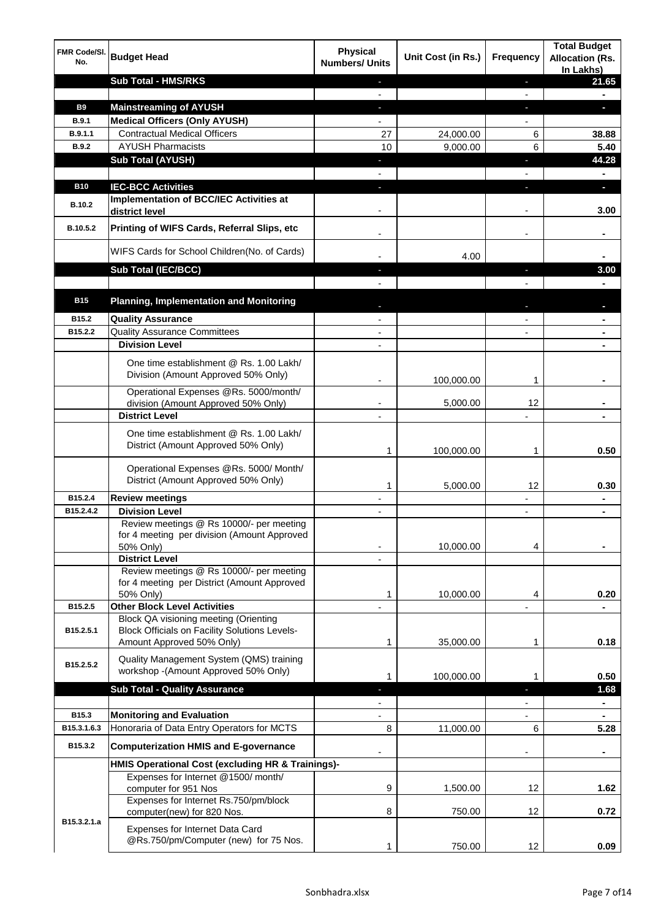| FMR Code/SI.<br>No. | <b>Budget Head</b>                                                                                                         | <b>Physical</b><br><b>Numbers/ Units</b> | Unit Cost (in Rs.) | <b>Frequency</b>         | <b>Total Budget</b><br><b>Allocation (Rs.</b><br>In Lakhs) |
|---------------------|----------------------------------------------------------------------------------------------------------------------------|------------------------------------------|--------------------|--------------------------|------------------------------------------------------------|
|                     | <b>Sub Total - HMS/RKS</b>                                                                                                 | ٠<br>$\mathbf{r}$                        |                    | J,<br>$\mathbf{r}$       | 21.65                                                      |
| <b>B9</b>           | <b>Mainstreaming of AYUSH</b>                                                                                              |                                          |                    |                          | ь                                                          |
| <b>B.9.1</b>        | <b>Medical Officers (Only AYUSH)</b>                                                                                       |                                          |                    |                          |                                                            |
| B.9.1.1             | <b>Contractual Medical Officers</b>                                                                                        | 27                                       | 24,000.00          | 6                        | 38.88                                                      |
| <b>B.9.2</b>        | <b>AYUSH Pharmacists</b>                                                                                                   | 10                                       | 9,000.00           | 6                        | 5.40                                                       |
|                     | <b>Sub Total (AYUSH)</b>                                                                                                   | ٠                                        |                    | ۳                        | 44.28                                                      |
| <b>B10</b>          | <b>IEC-BCC Activities</b>                                                                                                  |                                          |                    |                          | п                                                          |
| <b>B.10.2</b>       | Implementation of BCC/IEC Activities at<br>district level                                                                  |                                          |                    |                          | 3.00                                                       |
| B.10.5.2            | Printing of WIFS Cards, Referral Slips, etc                                                                                |                                          |                    |                          |                                                            |
|                     | WIFS Cards for School Children (No. of Cards)                                                                              |                                          | 4.00               |                          |                                                            |
|                     | Sub Total (IEC/BCC)                                                                                                        |                                          |                    | J                        | 3.00                                                       |
|                     |                                                                                                                            |                                          |                    |                          |                                                            |
| <b>B15</b>          | <b>Planning, Implementation and Monitoring</b>                                                                             |                                          |                    |                          |                                                            |
| B15.2               | <b>Quality Assurance</b>                                                                                                   |                                          |                    |                          |                                                            |
| B15.2.2             | <b>Quality Assurance Committees</b>                                                                                        |                                          |                    |                          |                                                            |
|                     | <b>Division Level</b>                                                                                                      |                                          |                    |                          |                                                            |
|                     | One time establishment @ Rs. 1.00 Lakh/<br>Division (Amount Approved 50% Only)                                             |                                          | 100,000.00         | 1                        |                                                            |
|                     | Operational Expenses @Rs. 5000/month/<br>division (Amount Approved 50% Only)                                               |                                          | 5,000.00           | 12                       |                                                            |
|                     | <b>District Level</b>                                                                                                      |                                          |                    | $\overline{a}$           |                                                            |
|                     | One time establishment @ Rs. 1.00 Lakh/<br>District (Amount Approved 50% Only)                                             | 1                                        | 100,000.00         | 1                        | 0.50                                                       |
|                     | Operational Expenses @Rs. 5000/ Month/<br>District (Amount Approved 50% Only)                                              | 1                                        | 5,000.00           | $12 \overline{ }$        | 0.30                                                       |
| B15.2.4             | <b>Review meetings</b>                                                                                                     |                                          |                    |                          |                                                            |
| B15.2.4.2           | <b>Division Level</b>                                                                                                      |                                          |                    |                          |                                                            |
|                     | Review meetings @ Rs 10000/- per meeting<br>for 4 meeting per division (Amount Approved<br>50% Only)                       | $\blacksquare$                           | 10,000.00          | 4                        |                                                            |
|                     | <b>District Level</b>                                                                                                      | $\blacksquare$                           |                    |                          |                                                            |
|                     | Review meetings @ Rs 10000/- per meeting<br>for 4 meeting per District (Amount Approved<br>50% Only)                       | 1                                        | 10,000.00          | 4                        | 0.20                                                       |
| B15.2.5             | <b>Other Block Level Activities</b>                                                                                        |                                          |                    |                          |                                                            |
| B15.2.5.1           | Block QA visioning meeting (Orienting<br><b>Block Officials on Facility Solutions Levels-</b><br>Amount Approved 50% Only) | 1                                        | 35,000.00          | 1                        | 0.18                                                       |
| B15.2.5.2           | Quality Management System (QMS) training<br>workshop -(Amount Approved 50% Only)                                           | 1                                        | 100,000.00         | 1                        | 0.50                                                       |
|                     | <b>Sub Total - Quality Assurance</b>                                                                                       | J,                                       |                    | ٠                        | 1.68                                                       |
|                     |                                                                                                                            | $\overline{\phantom{a}}$                 |                    | $\overline{\phantom{a}}$ | $\blacksquare$                                             |
| B15.3               | <b>Monitoring and Evaluation</b>                                                                                           |                                          |                    | $\overline{\phantom{a}}$ | ٠                                                          |
| B15.3.1.6.3         | Honoraria of Data Entry Operators for MCTS                                                                                 | 8                                        | 11,000.00          | 6                        | 5.28                                                       |
| B15.3.2             | <b>Computerization HMIS and E-governance</b>                                                                               |                                          |                    |                          |                                                            |
|                     | HMIS Operational Cost (excluding HR & Trainings)-                                                                          |                                          |                    |                          |                                                            |
|                     | Expenses for Internet @1500/month/                                                                                         |                                          |                    |                          |                                                            |
|                     | computer for 951 Nos<br>Expenses for Internet Rs.750/pm/block                                                              | 9                                        | 1,500.00           | 12                       | 1.62                                                       |
| B15.3.2.1.a         | computer(new) for 820 Nos.                                                                                                 | 8                                        | 750.00             | 12                       | 0.72                                                       |
|                     | Expenses for Internet Data Card<br>@Rs.750/pm/Computer (new) for 75 Nos.                                                   | 1                                        | 750.00             | 12                       | 0.09                                                       |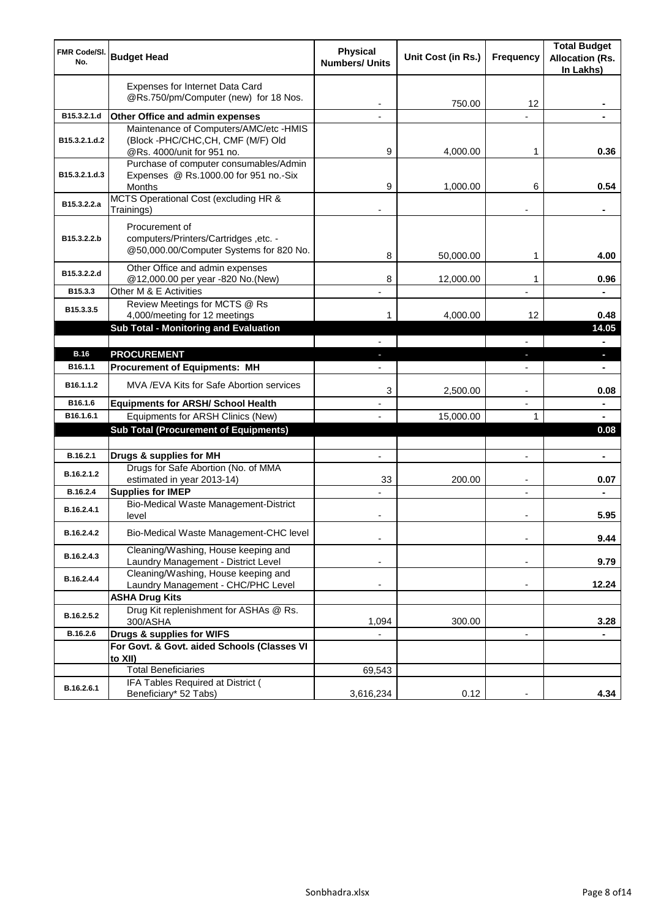| <b>FMR Code/SI.</b><br>No. | <b>Budget Head</b>                                                                                        | <b>Physical</b><br><b>Numbers/ Units</b> | Unit Cost (in Rs.) | <b>Frequency</b>         | <b>Total Budget</b><br><b>Allocation (Rs.</b><br>In Lakhs) |
|----------------------------|-----------------------------------------------------------------------------------------------------------|------------------------------------------|--------------------|--------------------------|------------------------------------------------------------|
|                            | Expenses for Internet Data Card<br>@Rs.750/pm/Computer (new) for 18 Nos.                                  |                                          | 750.00             | 12                       |                                                            |
| B15.3.2.1.d                | Other Office and admin expenses                                                                           |                                          |                    |                          |                                                            |
| B15.3.2.1.d.2              | Maintenance of Computers/AMC/etc -HMIS<br>(Block -PHC/CHC,CH, CMF (M/F) Old<br>@Rs. 4000/unit for 951 no. | 9                                        | 4,000.00           | 1                        | 0.36                                                       |
| B15.3.2.1.d.3              | Purchase of computer consumables/Admin<br>Expenses @ Rs.1000.00 for 951 no.-Six<br>Months                 | 9                                        | 1,000.00           | 6                        | 0.54                                                       |
| B15.3.2.2.a                | MCTS Operational Cost (excluding HR &<br>Trainings)                                                       |                                          |                    |                          | ٠                                                          |
| B15.3.2.2.b                | Procurement of<br>computers/Printers/Cartridges, etc. -<br>@50,000.00/Computer Systems for 820 No.        | 8                                        | 50,000.00          | 1                        | 4.00                                                       |
| B15.3.2.2.d                | Other Office and admin expenses<br>@12,000.00 per year -820 No.(New)                                      | 8                                        | 12,000.00          | 1                        | 0.96                                                       |
| B15.3.3                    | Other M & E Activities                                                                                    |                                          |                    | ÷,                       |                                                            |
| B15.3.3.5                  | Review Meetings for MCTS @ Rs<br>4,000/meeting for 12 meetings                                            | 1                                        | 4,000.00           | 12                       | 0.48                                                       |
|                            | <b>Sub Total - Monitoring and Evaluation</b>                                                              |                                          |                    |                          | 14.05                                                      |
| <b>B.16</b>                |                                                                                                           |                                          |                    | $\overline{a}$           | $\blacksquare$                                             |
| B16.1.1                    | <b>PROCUREMENT</b><br><b>Procurement of Equipments: MH</b>                                                | E.                                       |                    | J,<br>$\overline{a}$     | $\blacksquare$<br>÷.                                       |
| B <sub>16.1</sub> .1.2     | MVA / EVA Kits for Safe Abortion services                                                                 | 3                                        | 2,500.00           | ۰                        | 0.08                                                       |
| B16.1.6                    | <b>Equipments for ARSH/ School Health</b>                                                                 |                                          |                    | ÷,                       | ÷                                                          |
| B16.1.6.1                  | Equipments for ARSH Clinics (New)                                                                         |                                          | 15,000.00          | 1                        |                                                            |
|                            | <b>Sub Total (Procurement of Equipments)</b>                                                              |                                          |                    |                          | 0.08                                                       |
| B.16.2.1                   | Drugs & supplies for MH                                                                                   | $\overline{a}$                           |                    | $\overline{a}$           | ÷                                                          |
| B.16.2.1.2                 | Drugs for Safe Abortion (No. of MMA<br>estimated in year 2013-14)                                         | 33                                       | 200.00             | $\overline{\phantom{a}}$ | 0.07                                                       |
| B.16.2.4                   | <b>Supplies for IMEP</b>                                                                                  | $\overline{a}$                           |                    | $\overline{\phantom{a}}$ | $\blacksquare$                                             |
| B.16.2.4.1                 | Bio-Medical Waste Management-District<br>level                                                            |                                          |                    |                          | 5.95                                                       |
| B.16.2.4.2                 | Bio-Medical Waste Management-CHC level                                                                    | Ĭ.                                       |                    | ÷                        | 9.44                                                       |
| B.16.2.4.3                 | Cleaning/Washing, House keeping and<br>Laundry Management - District Level                                |                                          |                    | ÷                        | 9.79                                                       |
| B.16.2.4.4                 | Cleaning/Washing, House keeping and<br>Laundry Management - CHC/PHC Level                                 |                                          |                    |                          | 12.24                                                      |
|                            | <b>ASHA Drug Kits</b>                                                                                     |                                          |                    |                          |                                                            |
| B.16.2.5.2                 | Drug Kit replenishment for ASHAs @ Rs.<br>300/ASHA                                                        | 1,094                                    | 300.00             |                          | 3.28                                                       |
| B.16.2.6                   | Drugs & supplies for WIFS                                                                                 |                                          |                    | ä,                       |                                                            |
|                            | For Govt. & Govt. aided Schools (Classes VI<br>to XII)                                                    |                                          |                    |                          |                                                            |
|                            | <b>Total Beneficiaries</b>                                                                                | 69,543                                   |                    |                          |                                                            |
| B.16.2.6.1                 | IFA Tables Required at District (<br>Beneficiary* 52 Tabs)                                                | 3,616,234                                | 0.12               |                          | 4.34                                                       |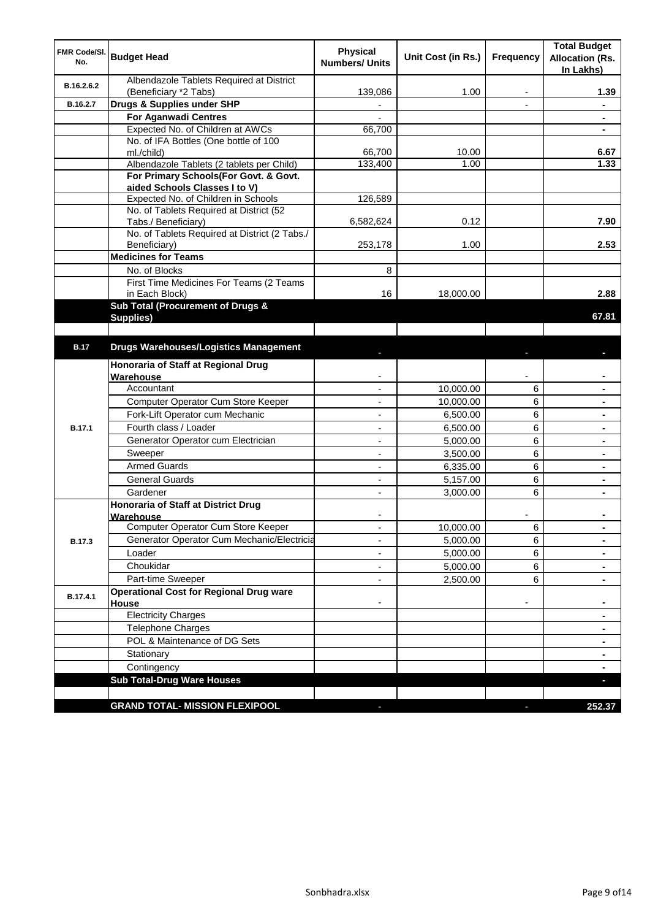| <b>FMR Code/SI.</b><br>No. | <b>Budget Head</b>                                        | <b>Physical</b><br><b>Numbers/ Units</b> | Unit Cost (in Rs.) | <b>Frequency</b> | <b>Total Budget</b><br><b>Allocation (Rs.</b><br>In Lakhs) |
|----------------------------|-----------------------------------------------------------|------------------------------------------|--------------------|------------------|------------------------------------------------------------|
| B.16.2.6.2                 | Albendazole Tablets Required at District                  | 139,086                                  | 1.00               | ٠                | 1.39                                                       |
| B.16.2.7                   | (Beneficiary *2 Tabs)<br>Drugs & Supplies under SHP       | $\frac{1}{2}$                            |                    | $\overline{a}$   | $\blacksquare$                                             |
|                            | <b>For Aganwadi Centres</b>                               |                                          |                    |                  |                                                            |
|                            | Expected No. of Children at AWCs                          | 66,700                                   |                    |                  | $\blacksquare$                                             |
|                            | No. of IFA Bottles (One bottle of 100                     |                                          |                    |                  |                                                            |
|                            | ml./child)                                                | 66,700                                   | 10.00              |                  | 6.67                                                       |
|                            | Albendazole Tablets (2 tablets per Child)                 | 133,400                                  | 1.00               |                  | 1.33                                                       |
|                            | For Primary Schools(For Govt. & Govt.                     |                                          |                    |                  |                                                            |
|                            | aided Schools Classes I to V)                             |                                          |                    |                  |                                                            |
|                            | Expected No. of Children in Schools                       | 126,589                                  |                    |                  |                                                            |
|                            | No. of Tablets Required at District (52                   |                                          |                    |                  |                                                            |
|                            | Tabs./ Beneficiary)                                       | 6,582,624                                | 0.12               |                  | 7.90                                                       |
|                            | No. of Tablets Required at District (2 Tabs./             |                                          |                    |                  |                                                            |
|                            | Beneficiary)                                              | 253,178                                  | 1.00               |                  | 2.53                                                       |
|                            | <b>Medicines for Teams</b>                                |                                          |                    |                  |                                                            |
|                            | No. of Blocks                                             | 8                                        |                    |                  |                                                            |
|                            | First Time Medicines For Teams (2 Teams<br>in Each Block) | 16                                       | 18,000.00          |                  | 2.88                                                       |
|                            | Sub Total (Procurement of Drugs &                         |                                          |                    |                  |                                                            |
|                            | Supplies)                                                 |                                          |                    |                  | 67.81                                                      |
|                            |                                                           |                                          |                    |                  |                                                            |
| <b>B.17</b>                | <b>Drugs Warehouses/Logistics Management</b>              |                                          |                    |                  |                                                            |
|                            | Honoraria of Staff at Regional Drug                       |                                          |                    |                  |                                                            |
|                            | Warehouse                                                 |                                          |                    |                  |                                                            |
|                            | Accountant                                                |                                          | 10,000.00          | 6                |                                                            |
|                            | Computer Operator Cum Store Keeper                        |                                          | 10,000.00          | 6                |                                                            |
|                            | Fork-Lift Operator cum Mechanic                           |                                          | 6,500.00           | 6                |                                                            |
| <b>B.17.1</b>              | Fourth class / Loader                                     |                                          | 6,500.00           | 6                |                                                            |
|                            | Generator Operator cum Electrician                        |                                          | 5,000.00           | 6                |                                                            |
|                            | Sweeper                                                   | $\overline{a}$                           | 3,500.00           | 6                |                                                            |
|                            | <b>Armed Guards</b>                                       |                                          | 6,335.00           | 6                |                                                            |
|                            | <b>General Guards</b>                                     |                                          | 5,157.00           | 6                |                                                            |
|                            | Gardener                                                  | ÷.                                       | 3,000.00           | 6                |                                                            |
|                            | <b>Honoraria of Staff at District Drug</b>                |                                          |                    |                  |                                                            |
|                            | Warehouse                                                 |                                          |                    |                  |                                                            |
|                            | Computer Operator Cum Store Keeper                        |                                          | 10,000.00          | 6                |                                                            |
| <b>B.17.3</b>              | Generator Operator Cum Mechanic/Electricia                |                                          | 5,000.00           | 6                |                                                            |
|                            | Loader                                                    |                                          | 5,000.00           | 6                |                                                            |
|                            | Choukidar                                                 |                                          | 5,000.00           | 6                | $\blacksquare$                                             |
|                            | Part-time Sweeper                                         |                                          | 2,500.00           | 6                |                                                            |
| B.17.4.1                   | <b>Operational Cost for Regional Drug ware</b>            |                                          |                    |                  |                                                            |
|                            | House                                                     |                                          |                    | ٠                | $\blacksquare$                                             |
|                            | Electricity Charges                                       |                                          |                    |                  | ٠                                                          |
|                            | <b>Telephone Charges</b>                                  |                                          |                    |                  | $\blacksquare$                                             |
|                            | POL & Maintenance of DG Sets                              |                                          |                    |                  | ٠                                                          |
|                            | Stationary                                                |                                          |                    |                  | ٠                                                          |
|                            | Contingency                                               |                                          |                    |                  | ٠                                                          |
|                            | <b>Sub Total-Drug Ware Houses</b>                         |                                          |                    |                  | o,                                                         |
|                            | <b>GRAND TOTAL- MISSION FLEXIPOOL</b>                     |                                          |                    |                  | 252.37                                                     |
|                            |                                                           |                                          |                    |                  |                                                            |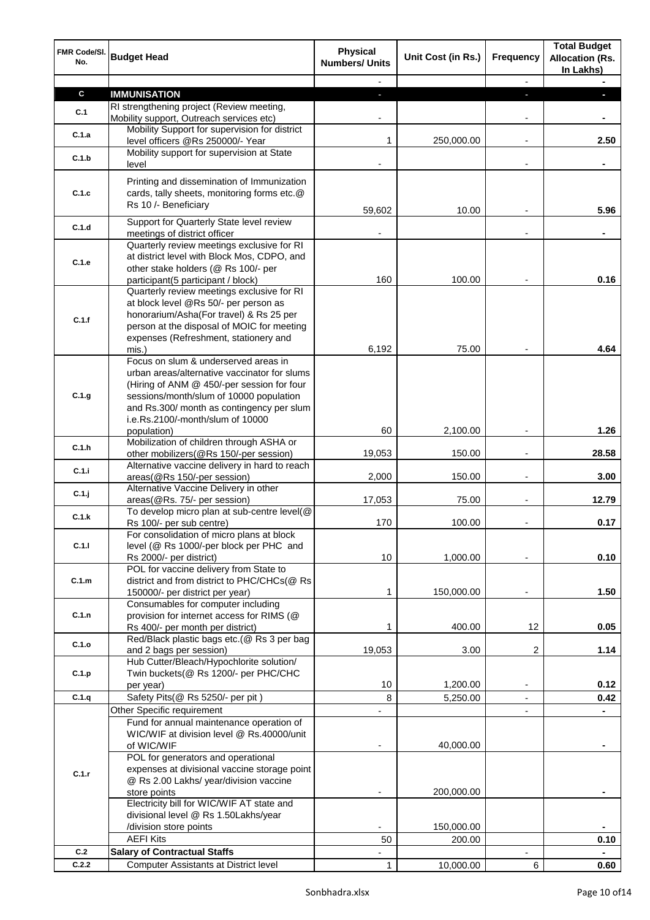| FMR Code/SI.<br>No. | <b>Budget Head</b>                                                                                                                                                                                                         | <b>Physical</b><br><b>Numbers/ Units</b> | Unit Cost (in Rs.) | <b>Frequency</b>         | <b>Total Budget</b><br><b>Allocation (Rs.</b><br>In Lakhs) |
|---------------------|----------------------------------------------------------------------------------------------------------------------------------------------------------------------------------------------------------------------------|------------------------------------------|--------------------|--------------------------|------------------------------------------------------------|
|                     |                                                                                                                                                                                                                            |                                          |                    | $\overline{\phantom{a}}$ |                                                            |
| $\mathbf c$         | <b>IMMUNISATION</b>                                                                                                                                                                                                        | ٠                                        |                    | ÷                        | п                                                          |
| C.1                 | RI strengthening project (Review meeting,                                                                                                                                                                                  |                                          |                    |                          |                                                            |
|                     | Mobility support, Outreach services etc)<br>Mobility Support for supervision for district                                                                                                                                  |                                          |                    | ۰                        |                                                            |
| C.1.a               | level officers @Rs 250000/- Year                                                                                                                                                                                           | 1                                        | 250,000.00         | $\blacksquare$           | 2.50                                                       |
| C.1.b               | Mobility support for supervision at State<br>level                                                                                                                                                                         |                                          |                    | ٠                        |                                                            |
| C.1.c               | Printing and dissemination of Immunization<br>cards, tally sheets, monitoring forms etc.@                                                                                                                                  |                                          |                    |                          |                                                            |
|                     | Rs 10 /- Beneficiary                                                                                                                                                                                                       | 59,602                                   | 10.00              |                          | 5.96                                                       |
| C.1.d               | Support for Quarterly State level review<br>meetings of district officer                                                                                                                                                   |                                          |                    | ۰                        | $\blacksquare$                                             |
| C.1.e               | Quarterly review meetings exclusive for RI<br>at district level with Block Mos, CDPO, and<br>other stake holders (@ Rs 100/- per                                                                                           |                                          |                    |                          |                                                            |
|                     | participant(5 participant / block)                                                                                                                                                                                         | 160                                      | 100.00             |                          | 0.16                                                       |
| C.1.f               | Quarterly review meetings exclusive for RI<br>at block level @Rs 50/- per person as<br>honorarium/Asha(For travel) & Rs 25 per<br>person at the disposal of MOIC for meeting<br>expenses (Refreshment, stationery and      |                                          |                    |                          |                                                            |
|                     | mis.)                                                                                                                                                                                                                      | 6,192                                    | 75.00              |                          | 4.64                                                       |
| C.1.g               | Focus on slum & underserved areas in<br>urban areas/alternative vaccinator for slums<br>(Hiring of ANM @ 450/-per session for four<br>sessions/month/slum of 10000 population<br>and Rs.300/ month as contingency per slum |                                          |                    |                          |                                                            |
|                     | i.e.Rs.2100/-month/slum of 10000<br>population)                                                                                                                                                                            | 60                                       | 2,100.00           |                          | 1.26                                                       |
|                     | Mobilization of children through ASHA or                                                                                                                                                                                   |                                          |                    |                          |                                                            |
| C.1.h               | other mobilizers(@Rs 150/-per session)                                                                                                                                                                                     | 19,053                                   | 150.00             | L,                       | 28.58                                                      |
| C.1.i               | Alternative vaccine delivery in hard to reach<br>areas(@Rs 150/-per session)                                                                                                                                               | 2,000                                    | 150.00             | Ĭ.                       | 3.00                                                       |
| $C.1$ .j            | Alternative Vaccine Delivery in other<br>areas(@Rs. 75/- per session)                                                                                                                                                      | 17,053                                   | 75.00              | Ĭ.                       | 12.79                                                      |
| C.1.k               | To develop micro plan at sub-centre level(@                                                                                                                                                                                |                                          |                    |                          |                                                            |
|                     | Rs 100/- per sub centre)                                                                                                                                                                                                   | 170                                      | 100.00             |                          | 0.17                                                       |
| C.1.1               | For consolidation of micro plans at block<br>level (@ Rs 1000/-per block per PHC and<br>Rs 2000/- per district)                                                                                                            | 10                                       | 1,000.00           |                          | 0.10                                                       |
| C.1.m               | POL for vaccine delivery from State to<br>district and from district to PHC/CHCs(@ Rs<br>150000/- per district per year)                                                                                                   | 1                                        | 150,000.00         |                          | 1.50                                                       |
| C.1.n               | Consumables for computer including<br>provision for internet access for RIMS (@                                                                                                                                            |                                          |                    |                          |                                                            |
|                     | Rs 400/- per month per district)                                                                                                                                                                                           | 1                                        | 400.00             | 12                       | 0.05                                                       |
| C.1.o               | Red/Black plastic bags etc.(@ Rs 3 per bag<br>and 2 bags per session)                                                                                                                                                      | 19,053                                   | 3.00               | 2                        | 1.14                                                       |
| C.1.p               | Hub Cutter/Bleach/Hypochlorite solution/<br>Twin buckets(@ Rs 1200/- per PHC/CHC                                                                                                                                           |                                          |                    |                          |                                                            |
|                     | per year)                                                                                                                                                                                                                  | 10                                       | 1,200.00           | ٠                        | 0.12                                                       |
| C.1.q               | Safety Pits(@ Rs 5250/- per pit)                                                                                                                                                                                           | 8                                        | 5,250.00           | $\blacksquare$           | 0.42                                                       |
|                     | Other Specific requirement<br>Fund for annual maintenance operation of                                                                                                                                                     |                                          |                    | $\overline{\phantom{a}}$ |                                                            |
|                     | WIC/WIF at division level @ Rs.40000/unit<br>of WIC/WIF                                                                                                                                                                    |                                          | 40,000.00          |                          | $\blacksquare$                                             |
|                     | POL for generators and operational<br>expenses at divisional vaccine storage point                                                                                                                                         |                                          |                    |                          |                                                            |
| C.1.r               | @ Rs 2.00 Lakhs/ year/division vaccine                                                                                                                                                                                     |                                          |                    |                          |                                                            |
|                     | store points<br>Electricity bill for WIC/WIF AT state and                                                                                                                                                                  |                                          | 200,000.00         |                          |                                                            |
|                     | divisional level @ Rs 1.50Lakhs/year                                                                                                                                                                                       |                                          |                    |                          |                                                            |
|                     | /division store points                                                                                                                                                                                                     |                                          | 150,000.00         |                          |                                                            |
|                     | <b>AEFI Kits</b>                                                                                                                                                                                                           | 50                                       | 200.00             |                          | 0.10                                                       |
| C.2                 | <b>Salary of Contractual Staffs</b>                                                                                                                                                                                        |                                          |                    |                          |                                                            |
| C.2.2               | Computer Assistants at District level                                                                                                                                                                                      | 1                                        | 10,000.00          | 6                        | 0.60                                                       |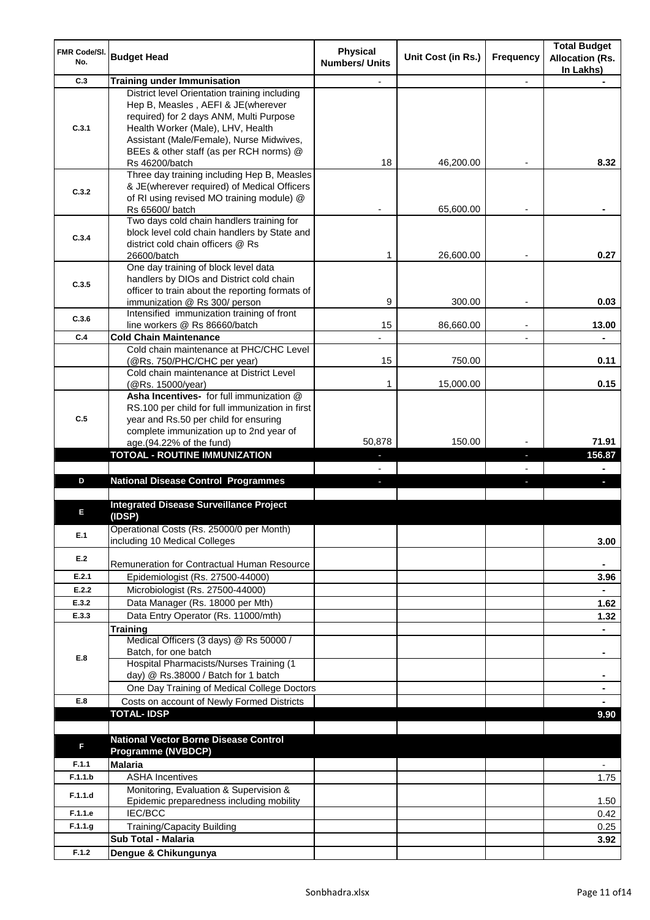| <b>FMR Code/SI.</b><br>No. | <b>Budget Head</b>                                                                                                                                                                                                                                         | <b>Physical</b><br><b>Numbers/ Units</b> | Unit Cost (in Rs.) | <b>Frequency</b> | <b>Total Budget</b><br><b>Allocation (Rs.</b><br>In Lakhs) |
|----------------------------|------------------------------------------------------------------------------------------------------------------------------------------------------------------------------------------------------------------------------------------------------------|------------------------------------------|--------------------|------------------|------------------------------------------------------------|
| C.3                        | <b>Training under Immunisation</b>                                                                                                                                                                                                                         |                                          |                    | ä,               |                                                            |
| C.3.1                      | District level Orientation training including<br>Hep B, Measles, AEFI & JE(wherever<br>required) for 2 days ANM, Multi Purpose<br>Health Worker (Male), LHV, Health<br>Assistant (Male/Female), Nurse Midwives,<br>BEEs & other staff (as per RCH norms) @ |                                          |                    |                  |                                                            |
|                            | Rs 46200/batch                                                                                                                                                                                                                                             | 18                                       | 46,200.00          |                  | 8.32                                                       |
| C.3.2                      | Three day training including Hep B, Measles<br>& JE(wherever required) of Medical Officers<br>of RI using revised MO training module) @<br>Rs 65600/ batch                                                                                                 |                                          | 65,600.00          |                  |                                                            |
| C.3.4                      | Two days cold chain handlers training for<br>block level cold chain handlers by State and<br>district cold chain officers @ Rs<br>26600/batch                                                                                                              | 1                                        | 26,600.00          |                  | 0.27                                                       |
| C.3.5                      | One day training of block level data<br>handlers by DIOs and District cold chain<br>officer to train about the reporting formats of<br>immunization @ Rs 300/ person                                                                                       | 9                                        | 300.00             |                  | 0.03                                                       |
| C.3.6                      | Intensified immunization training of front                                                                                                                                                                                                                 |                                          |                    |                  |                                                            |
| C.4                        | line workers @ Rs 86660/batch<br><b>Cold Chain Maintenance</b>                                                                                                                                                                                             | 15                                       | 86,660.00          |                  | 13.00<br>÷.                                                |
|                            | Cold chain maintenance at PHC/CHC Level<br>(@Rs. 750/PHC/CHC per year)                                                                                                                                                                                     | 15                                       | 750.00             |                  | 0.11                                                       |
|                            | Cold chain maintenance at District Level<br>(@Rs. 15000/year)                                                                                                                                                                                              | 1                                        | 15,000.00          |                  | 0.15                                                       |
| C.5                        | Asha Incentives- for full immunization @<br>RS.100 per child for full immunization in first<br>year and Rs.50 per child for ensuring<br>complete immunization up to 2nd year of<br>age.(94.22% of the fund)                                                | 50,878                                   | 150.00             |                  | 71.91                                                      |
|                            | <b>TOTOAL - ROUTINE IMMUNIZATION</b>                                                                                                                                                                                                                       |                                          |                    | н                | 156.87                                                     |
|                            |                                                                                                                                                                                                                                                            | $\overline{\phantom{0}}$                 |                    |                  |                                                            |
| D                          | <b>National Disease Control Programmes</b>                                                                                                                                                                                                                 |                                          |                    |                  |                                                            |
| Е                          | <b>Integrated Disease Surveillance Project</b><br>(IDSP)                                                                                                                                                                                                   |                                          |                    |                  |                                                            |
| E.1                        | Operational Costs (Rs. 25000/0 per Month)<br>including 10 Medical Colleges                                                                                                                                                                                 |                                          |                    |                  | 3.00                                                       |
| E.2                        | Remuneration for Contractual Human Resource                                                                                                                                                                                                                |                                          |                    |                  |                                                            |
| E.2.1                      | Epidemiologist (Rs. 27500-44000)                                                                                                                                                                                                                           |                                          |                    |                  | 3.96                                                       |
| E.2.2                      | Microbiologist (Rs. 27500-44000)                                                                                                                                                                                                                           |                                          |                    |                  |                                                            |
| E.3.2                      | Data Manager (Rs. 18000 per Mth)                                                                                                                                                                                                                           |                                          |                    |                  | 1.62                                                       |
| E.3.3                      | Data Entry Operator (Rs. 11000/mth)<br><b>Training</b>                                                                                                                                                                                                     |                                          |                    |                  | 1.32                                                       |
| E.8                        | Medical Officers (3 days) @ Rs 50000 /<br>Batch, for one batch                                                                                                                                                                                             |                                          |                    |                  | $\blacksquare$                                             |
|                            | Hospital Pharmacists/Nurses Training (1<br>day) @ Rs.38000 / Batch for 1 batch<br>One Day Training of Medical College Doctors                                                                                                                              |                                          |                    |                  |                                                            |
| E.8                        | Costs on account of Newly Formed Districts                                                                                                                                                                                                                 |                                          |                    |                  | ٠                                                          |
|                            | <b>TOTAL-IDSP</b>                                                                                                                                                                                                                                          |                                          |                    |                  | 9.90                                                       |
|                            |                                                                                                                                                                                                                                                            |                                          |                    |                  |                                                            |
| F                          | <b>National Vector Borne Disease Control</b><br><b>Programme (NVBDCP)</b>                                                                                                                                                                                  |                                          |                    |                  |                                                            |
| F.1.1<br>F.1.1.b           | <b>Malaria</b><br><b>ASHA Incentives</b>                                                                                                                                                                                                                   |                                          |                    |                  |                                                            |
| F.1.1.d                    | Monitoring, Evaluation & Supervision &<br>Epidemic preparedness including mobility                                                                                                                                                                         |                                          |                    |                  | 1.75<br>1.50                                               |
| F.1.1.e                    | IEC/BCC                                                                                                                                                                                                                                                    |                                          |                    |                  | 0.42                                                       |
| F.1.1.g                    | <b>Training/Capacity Building</b>                                                                                                                                                                                                                          |                                          |                    |                  | 0.25                                                       |
|                            | <b>Sub Total - Malaria</b>                                                                                                                                                                                                                                 |                                          |                    |                  | 3.92                                                       |
| F.1.2                      | Dengue & Chikungunya                                                                                                                                                                                                                                       |                                          |                    |                  |                                                            |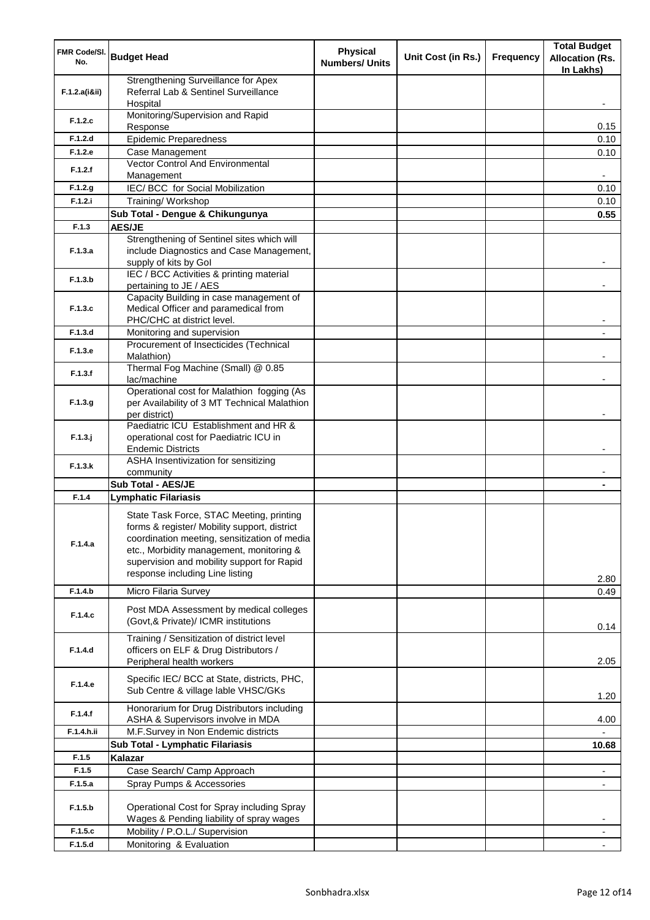| FMR Code/SI.<br>No. | <b>Budget Head</b>                                                                                                                                                                                                                                                    | <b>Physical</b><br><b>Numbers/ Units</b> | Unit Cost (in Rs.) | <b>Frequency</b> | <b>Total Budget</b><br><b>Allocation (Rs.</b> |
|---------------------|-----------------------------------------------------------------------------------------------------------------------------------------------------------------------------------------------------------------------------------------------------------------------|------------------------------------------|--------------------|------------------|-----------------------------------------------|
|                     | Strengthening Surveillance for Apex                                                                                                                                                                                                                                   |                                          |                    |                  | In Lakhs)                                     |
| F.1.2.a(iⅈ)         | Referral Lab & Sentinel Surveillance<br>Hospital                                                                                                                                                                                                                      |                                          |                    |                  |                                               |
| F.1.2.c             | Monitoring/Supervision and Rapid<br>Response                                                                                                                                                                                                                          |                                          |                    |                  | 0.15                                          |
| F.1.2.d             | <b>Epidemic Preparedness</b>                                                                                                                                                                                                                                          |                                          |                    |                  | 0.10                                          |
| F.1.2.e             | Case Management                                                                                                                                                                                                                                                       |                                          |                    |                  | 0.10                                          |
| F.1.2.f             | Vector Control And Environmental<br>Management                                                                                                                                                                                                                        |                                          |                    |                  |                                               |
| F.1.2.g             | IEC/ BCC for Social Mobilization                                                                                                                                                                                                                                      |                                          |                    |                  | 0.10                                          |
| F.1.2.i             | Training/Workshop                                                                                                                                                                                                                                                     |                                          |                    |                  | 0.10                                          |
|                     | Sub Total - Dengue & Chikungunya                                                                                                                                                                                                                                      |                                          |                    |                  | 0.55                                          |
| F.1.3               | <b>AES/JE</b>                                                                                                                                                                                                                                                         |                                          |                    |                  |                                               |
|                     | Strengthening of Sentinel sites which will                                                                                                                                                                                                                            |                                          |                    |                  |                                               |
| F.1.3.a             | include Diagnostics and Case Management,                                                                                                                                                                                                                              |                                          |                    |                  |                                               |
|                     | supply of kits by Gol                                                                                                                                                                                                                                                 |                                          |                    |                  |                                               |
| F.1.3.b             | IEC / BCC Activities & printing material                                                                                                                                                                                                                              |                                          |                    |                  |                                               |
|                     | pertaining to JE / AES                                                                                                                                                                                                                                                |                                          |                    |                  |                                               |
| F.1.3.c             | Capacity Building in case management of<br>Medical Officer and paramedical from                                                                                                                                                                                       |                                          |                    |                  |                                               |
|                     | PHC/CHC at district level.                                                                                                                                                                                                                                            |                                          |                    |                  |                                               |
| F.1.3.d             | Monitoring and supervision                                                                                                                                                                                                                                            |                                          |                    |                  |                                               |
| F.1.3.e             | Procurement of Insecticides (Technical<br>Malathion)                                                                                                                                                                                                                  |                                          |                    |                  |                                               |
| F.1.3.f             | Thermal Fog Machine (Small) @ 0.85<br>lac/machine                                                                                                                                                                                                                     |                                          |                    |                  |                                               |
| F.1.3.9             | Operational cost for Malathion fogging (As<br>per Availability of 3 MT Technical Malathion                                                                                                                                                                            |                                          |                    |                  |                                               |
|                     | per district)<br>Paediatric ICU Establishment and HR &                                                                                                                                                                                                                |                                          |                    |                  |                                               |
| $F.1.3.$ j          | operational cost for Paediatric ICU in<br><b>Endemic Districts</b>                                                                                                                                                                                                    |                                          |                    |                  |                                               |
| F.1.3.k             | ASHA Insentivization for sensitizing<br>community                                                                                                                                                                                                                     |                                          |                    |                  |                                               |
|                     | <b>Sub Total - AES/JE</b>                                                                                                                                                                                                                                             |                                          |                    |                  |                                               |
| F.1.4               | <b>Lymphatic Filariasis</b>                                                                                                                                                                                                                                           |                                          |                    |                  |                                               |
| F.1.4.a             | State Task Force, STAC Meeting, printing<br>forms & register/ Mobility support, district<br>coordination meeting, sensitization of media<br>etc., Morbidity management, monitoring &<br>supervision and mobility support for Rapid<br>response including Line listing |                                          |                    |                  | 2.80                                          |
| F.1.4.b             | Micro Filaria Survey                                                                                                                                                                                                                                                  |                                          |                    |                  | 0.49                                          |
| F.1.4.c             | Post MDA Assessment by medical colleges<br>(Govt,& Private)/ ICMR institutions                                                                                                                                                                                        |                                          |                    |                  | 0.14                                          |
| F.1.4.d             | Training / Sensitization of district level<br>officers on ELF & Drug Distributors /                                                                                                                                                                                   |                                          |                    |                  |                                               |
|                     | Peripheral health workers                                                                                                                                                                                                                                             |                                          |                    |                  | 2.05                                          |
| F.1.4.e             | Specific IEC/ BCC at State, districts, PHC,<br>Sub Centre & village lable VHSC/GKs                                                                                                                                                                                    |                                          |                    |                  | 1.20                                          |
| F.1.4.f             | Honorarium for Drug Distributors including<br>ASHA & Supervisors involve in MDA                                                                                                                                                                                       |                                          |                    |                  | 4.00                                          |
| F.1.4.h.ii          | M.F.Survey in Non Endemic districts                                                                                                                                                                                                                                   |                                          |                    |                  |                                               |
|                     | Sub Total - Lymphatic Filariasis                                                                                                                                                                                                                                      |                                          |                    |                  | 10.68                                         |
| F.1.5               | Kalazar                                                                                                                                                                                                                                                               |                                          |                    |                  |                                               |
| F.1.5               | Case Search/ Camp Approach                                                                                                                                                                                                                                            |                                          |                    |                  |                                               |
| F.1.5.a             | Spray Pumps & Accessories                                                                                                                                                                                                                                             |                                          |                    |                  |                                               |
| F.1.5.b             | Operational Cost for Spray including Spray<br>Wages & Pending liability of spray wages                                                                                                                                                                                |                                          |                    |                  |                                               |
| F.1.5.c             | Mobility / P.O.L./ Supervision                                                                                                                                                                                                                                        |                                          |                    |                  |                                               |
| F.1.5.d             | Monitoring & Evaluation                                                                                                                                                                                                                                               |                                          |                    |                  |                                               |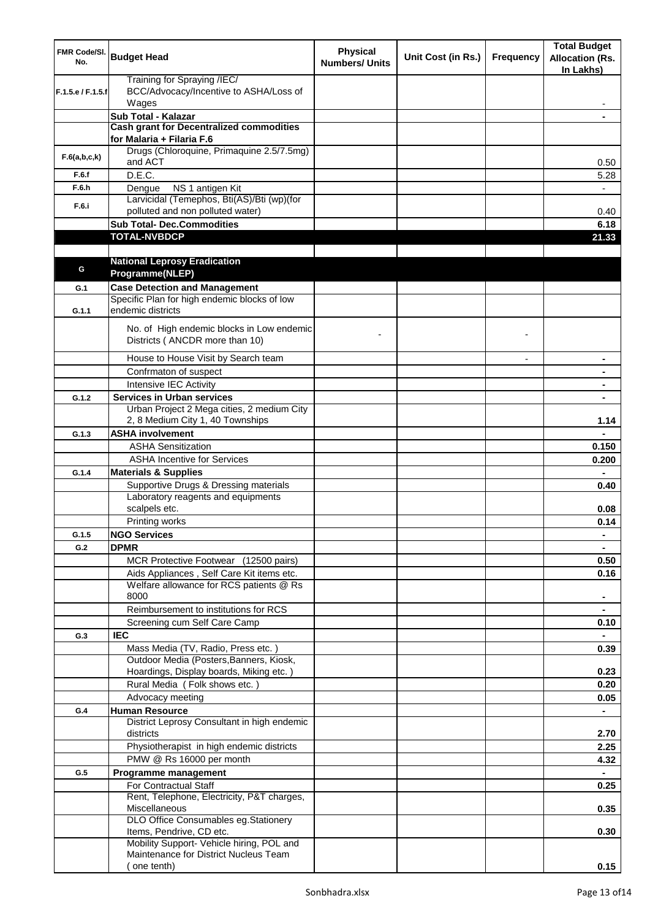| FMR Code/SI.<br>No. | <b>Budget Head</b>                                                             | <b>Physical</b><br><b>Numbers/ Units</b> | Unit Cost (in Rs.) | <b>Frequency</b> | <b>Total Budget</b><br><b>Allocation (Rs.</b><br>In Lakhs) |
|---------------------|--------------------------------------------------------------------------------|------------------------------------------|--------------------|------------------|------------------------------------------------------------|
| F.1.5.e / F.1.5.f   | Training for Spraying /IEC/<br>BCC/Advocacy/Incentive to ASHA/Loss of<br>Wages |                                          |                    |                  |                                                            |
|                     | Sub Total - Kalazar                                                            |                                          |                    |                  |                                                            |
|                     | <b>Cash grant for Decentralized commodities</b>                                |                                          |                    |                  |                                                            |
|                     | for Malaria + Filaria F.6                                                      |                                          |                    |                  |                                                            |
| F.6(a,b,c,k)        | Drugs (Chloroquine, Primaquine 2.5/7.5mg)<br>and ACT                           |                                          |                    |                  | 0.50                                                       |
| F.6.f               | D.E.C.                                                                         |                                          |                    |                  | 5.28                                                       |
| F.6.h               | NS 1 antigen Kit<br>Dengue                                                     |                                          |                    |                  |                                                            |
| F.6.i               | Larvicidal (Temephos, Bti(AS)/Bti (wp)(for<br>polluted and non polluted water) |                                          |                    |                  | 0.40                                                       |
|                     | <b>Sub Total- Dec.Commodities</b>                                              |                                          |                    |                  | 6.18                                                       |
|                     | <b>TOTAL-NVBDCP</b>                                                            |                                          |                    |                  | 21.33                                                      |
|                     |                                                                                |                                          |                    |                  |                                                            |
|                     | <b>National Leprosy Eradication</b>                                            |                                          |                    |                  |                                                            |
| G                   | Programme(NLEP)                                                                |                                          |                    |                  |                                                            |
| G.1                 | <b>Case Detection and Management</b>                                           |                                          |                    |                  |                                                            |
| G.1.1               | Specific Plan for high endemic blocks of low<br>endemic districts              |                                          |                    |                  |                                                            |
|                     | No. of High endemic blocks in Low endemic<br>Districts (ANCDR more than 10)    |                                          |                    |                  |                                                            |
|                     | House to House Visit by Search team                                            |                                          |                    |                  |                                                            |
|                     | Confrmaton of suspect                                                          |                                          |                    |                  |                                                            |
|                     | Intensive IEC Activity                                                         |                                          |                    |                  |                                                            |
| G.1.2               | <b>Services in Urban services</b>                                              |                                          |                    |                  |                                                            |
|                     | Urban Project 2 Mega cities, 2 medium City<br>2, 8 Medium City 1, 40 Townships |                                          |                    |                  | 1.14                                                       |
| G.1.3               | <b>ASHA involvement</b>                                                        |                                          |                    |                  |                                                            |
|                     | <b>ASHA Sensitization</b>                                                      |                                          |                    |                  | 0.150                                                      |
|                     | <b>ASHA Incentive for Services</b>                                             |                                          |                    |                  | 0.200                                                      |
| G.1.4               | <b>Materials &amp; Supplies</b>                                                |                                          |                    |                  |                                                            |
|                     | Supportive Drugs & Dressing materials                                          |                                          |                    |                  | 0.40                                                       |
|                     | Laboratory reagents and equipments<br>scalpels etc.                            |                                          |                    |                  | 0.08                                                       |
|                     | Printing works                                                                 |                                          |                    |                  | 0.14                                                       |
| G.1.5               | <b>NGO Services</b>                                                            |                                          |                    |                  | $\blacksquare$                                             |
| G.2                 | <b>DPMR</b>                                                                    |                                          |                    |                  |                                                            |
|                     | MCR Protective Footwear (12500 pairs)                                          |                                          |                    |                  | 0.50                                                       |
|                     | Aids Appliances, Self Care Kit items etc.                                      |                                          |                    |                  | 0.16                                                       |
|                     | Welfare allowance for RCS patients @ Rs<br>8000                                |                                          |                    |                  |                                                            |
|                     | Reimbursement to institutions for RCS                                          |                                          |                    |                  |                                                            |
|                     | Screening cum Self Care Camp                                                   |                                          |                    |                  | 0.10                                                       |
| G.3                 | <b>IEC</b>                                                                     |                                          |                    |                  |                                                            |
|                     | Mass Media (TV, Radio, Press etc.)                                             |                                          |                    |                  | 0.39                                                       |
|                     | Outdoor Media (Posters, Banners, Kiosk,                                        |                                          |                    |                  |                                                            |
|                     | Hoardings, Display boards, Miking etc.)                                        |                                          |                    |                  | 0.23                                                       |
|                     | Rural Media (Folk shows etc.)                                                  |                                          |                    |                  | 0.20                                                       |
|                     | Advocacy meeting                                                               |                                          |                    |                  | 0.05                                                       |
| G.4                 | <b>Human Resource</b>                                                          |                                          |                    |                  | $\blacksquare$                                             |
|                     | District Leprosy Consultant in high endemic<br>districts                       |                                          |                    |                  | 2.70                                                       |
|                     | Physiotherapist in high endemic districts                                      |                                          |                    |                  | 2.25                                                       |
|                     | PMW @ Rs 16000 per month                                                       |                                          |                    |                  | 4.32                                                       |
| G.5                 | Programme management                                                           |                                          |                    |                  |                                                            |
|                     | For Contractual Staff                                                          |                                          |                    |                  | 0.25                                                       |
|                     | Rent, Telephone, Electricity, P&T charges,<br>Miscellaneous                    |                                          |                    |                  | 0.35                                                       |
|                     | DLO Office Consumables eg.Stationery                                           |                                          |                    |                  |                                                            |
|                     | Items, Pendrive, CD etc.<br>Mobility Support- Vehicle hiring, POL and          |                                          |                    |                  | 0.30                                                       |
|                     | Maintenance for District Nucleus Team<br>(one tenth)                           |                                          |                    |                  | 0.15                                                       |